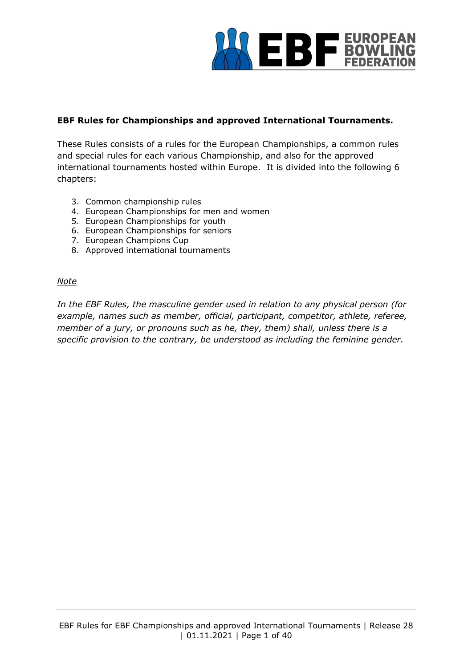

### **EBF Rules for Championships and approved International Tournaments.**

These Rules consists of a rules for the European Championships, a common rules and special rules for each various Championship, and also for the approved international tournaments hosted within Europe. It is divided into the following 6 chapters:

- 3. Common championship rules
- 4. European Championships for men and women
- 5. European Championships for youth
- 6. European Championships for seniors
- 7. European Champions Cup
- 8. Approved international tournaments

#### *Note*

*In the EBF Rules, the masculine gender used in relation to any physical person (for example, names such as member, official, participant, competitor, athlete, referee, member of a jury, or pronouns such as he, they, them) shall, unless there is a specific provision to the contrary, be understood as including the feminine gender.*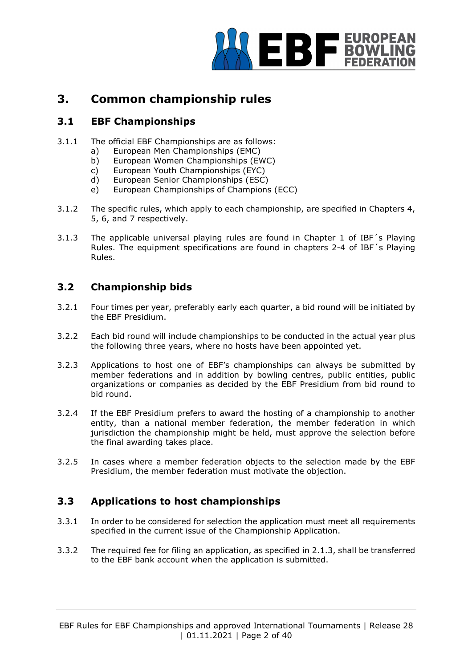

# **3. Common championship rules**

# **3.1 EBF Championships**

- 3.1.1 The official EBF Championships are as follows:
	- a) European Men Championships (EMC)
	- b) European Women Championships (EWC)
	- c) European Youth Championships (EYC)
	- d) European Senior Championships (ESC)
	- e) European Championships of Champions (ECC)
- 3.1.2 The specific rules, which apply to each championship, are specified in Chapters 4, 5, 6, and 7 respectively.
- 3.1.3 The applicable universal playing rules are found in Chapter 1 of IBF´s Playing Rules. The equipment specifications are found in chapters 2-4 of IBF´s Playing Rules.

# **3.2 Championship bids**

- 3.2.1 Four times per year, preferably early each quarter, a bid round will be initiated by the EBF Presidium.
- 3.2.2 Each bid round will include championships to be conducted in the actual year plus the following three years, where no hosts have been appointed yet.
- 3.2.3 Applications to host one of EBF's championships can always be submitted by member federations and in addition by bowling centres, public entities, public organizations or companies as decided by the EBF Presidium from bid round to bid round.
- 3.2.4 If the EBF Presidium prefers to award the hosting of a championship to another entity, than a national member federation, the member federation in which jurisdiction the championship might be held, must approve the selection before the final awarding takes place.
- 3.2.5 In cases where a member federation objects to the selection made by the EBF Presidium, the member federation must motivate the objection.

# **3.3 Applications to host championships**

- 3.3.1 In order to be considered for selection the application must meet all requirements specified in the current issue of the Championship Application.
- 3.3.2 The required fee for filing an application, as specified in 2.1.3, shall be transferred to the EBF bank account when the application is submitted.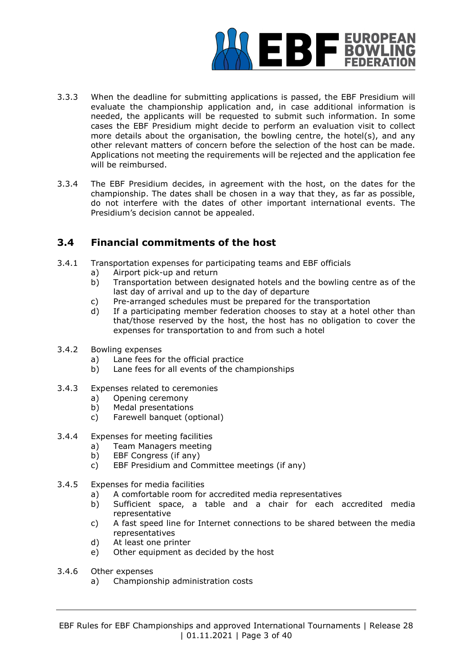

- 3.3.3 When the deadline for submitting applications is passed, the EBF Presidium will evaluate the championship application and, in case additional information is needed, the applicants will be requested to submit such information. In some cases the EBF Presidium might decide to perform an evaluation visit to collect more details about the organisation, the bowling centre, the hotel(s), and any other relevant matters of concern before the selection of the host can be made. Applications not meeting the requirements will be rejected and the application fee will be reimbursed.
- 3.3.4 The EBF Presidium decides, in agreement with the host, on the dates for the championship. The dates shall be chosen in a way that they, as far as possible, do not interfere with the dates of other important international events. The Presidium's decision cannot be appealed.

# **3.4 Financial commitments of the host**

- 3.4.1 Transportation expenses for participating teams and EBF officials
	- a) Airport pick-up and return
	- b) Transportation between designated hotels and the bowling centre as of the last day of arrival and up to the day of departure
	- c) Pre-arranged schedules must be prepared for the transportation
	- d) If a participating member federation chooses to stay at a hotel other than that/those reserved by the host, the host has no obligation to cover the expenses for transportation to and from such a hotel
- 3.4.2 Bowling expenses
	- a) Lane fees for the official practice
	- b) Lane fees for all events of the championships
- 3.4.3 Expenses related to ceremonies
	- a) Opening ceremony
	- b) Medal presentations
	- c) Farewell banquet (optional)
- 3.4.4 Expenses for meeting facilities
	- a) Team Managers meeting
	- b) EBF Congress (if any)
	- c) EBF Presidium and Committee meetings (if any)
- 3.4.5 Expenses for media facilities
	- a) A comfortable room for accredited media representatives
	- b) Sufficient space, a table and a chair for each accredited media representative
	- c) A fast speed line for Internet connections to be shared between the media representatives
	- d) At least one printer
	- e) Other equipment as decided by the host
- 3.4.6 Other expenses
	- a) Championship administration costs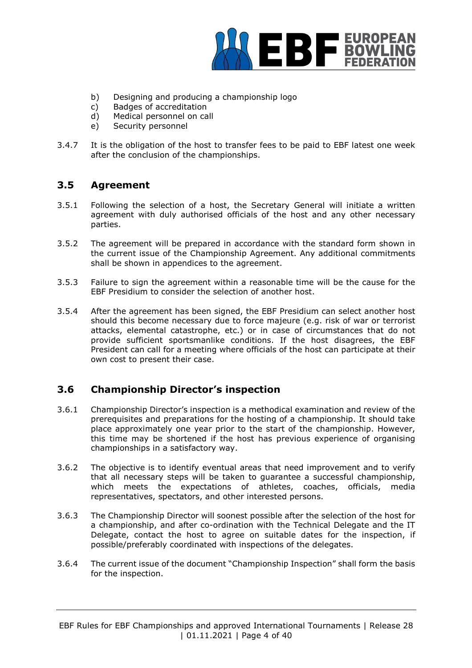

- b) Designing and producing a championship logo
- c) Badges of accreditation
- d) Medical personnel on call
- e) Security personnel
- 3.4.7 It is the obligation of the host to transfer fees to be paid to EBF latest one week after the conclusion of the championships.

## **3.5 Agreement**

- 3.5.1 Following the selection of a host, the Secretary General will initiate a written agreement with duly authorised officials of the host and any other necessary parties.
- 3.5.2 The agreement will be prepared in accordance with the standard form shown in the current issue of the Championship Agreement. Any additional commitments shall be shown in appendices to the agreement.
- 3.5.3 Failure to sign the agreement within a reasonable time will be the cause for the EBF Presidium to consider the selection of another host.
- 3.5.4 After the agreement has been signed, the EBF Presidium can select another host should this become necessary due to force majeure (e.g. risk of war or terrorist attacks, elemental catastrophe, etc.) or in case of circumstances that do not provide sufficient sportsmanlike conditions. If the host disagrees, the EBF President can call for a meeting where officials of the host can participate at their own cost to present their case.

# **3.6 Championship Director's inspection**

- 3.6.1 Championship Director's inspection is a methodical examination and review of the prerequisites and preparations for the hosting of a championship. It should take place approximately one year prior to the start of the championship. However, this time may be shortened if the host has previous experience of organising championships in a satisfactory way.
- 3.6.2 The objective is to identify eventual areas that need improvement and to verify that all necessary steps will be taken to guarantee a successful championship, which meets the expectations of athletes, coaches, officials, media representatives, spectators, and other interested persons.
- 3.6.3 The Championship Director will soonest possible after the selection of the host for a championship, and after co-ordination with the Technical Delegate and the IT Delegate, contact the host to agree on suitable dates for the inspection, if possible/preferably coordinated with inspections of the delegates.
- 3.6.4 The current issue of the document "Championship Inspection" shall form the basis for the inspection.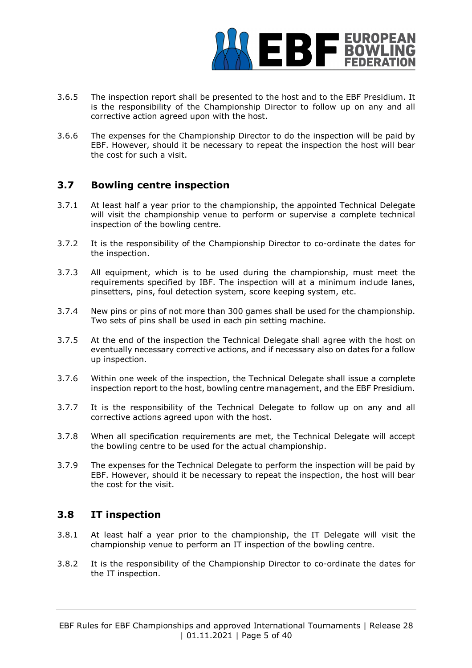

- 3.6.5 The inspection report shall be presented to the host and to the EBF Presidium. It is the responsibility of the Championship Director to follow up on any and all corrective action agreed upon with the host.
- 3.6.6 The expenses for the Championship Director to do the inspection will be paid by EBF. However, should it be necessary to repeat the inspection the host will bear the cost for such a visit.

# **3.7 Bowling centre inspection**

- 3.7.1 At least half a year prior to the championship, the appointed Technical Delegate will visit the championship venue to perform or supervise a complete technical inspection of the bowling centre.
- 3.7.2 It is the responsibility of the Championship Director to co-ordinate the dates for the inspection.
- 3.7.3 All equipment, which is to be used during the championship, must meet the requirements specified by IBF. The inspection will at a minimum include lanes, pinsetters, pins, foul detection system, score keeping system, etc.
- 3.7.4 New pins or pins of not more than 300 games shall be used for the championship. Two sets of pins shall be used in each pin setting machine.
- 3.7.5 At the end of the inspection the Technical Delegate shall agree with the host on eventually necessary corrective actions, and if necessary also on dates for a follow up inspection.
- 3.7.6 Within one week of the inspection, the Technical Delegate shall issue a complete inspection report to the host, bowling centre management, and the EBF Presidium.
- 3.7.7 It is the responsibility of the Technical Delegate to follow up on any and all corrective actions agreed upon with the host.
- 3.7.8 When all specification requirements are met, the Technical Delegate will accept the bowling centre to be used for the actual championship.
- 3.7.9 The expenses for the Technical Delegate to perform the inspection will be paid by EBF. However, should it be necessary to repeat the inspection, the host will bear the cost for the visit.

#### **3.8 IT inspection**

- 3.8.1 At least half a year prior to the championship, the IT Delegate will visit the championship venue to perform an IT inspection of the bowling centre.
- 3.8.2 It is the responsibility of the Championship Director to co-ordinate the dates for the IT inspection.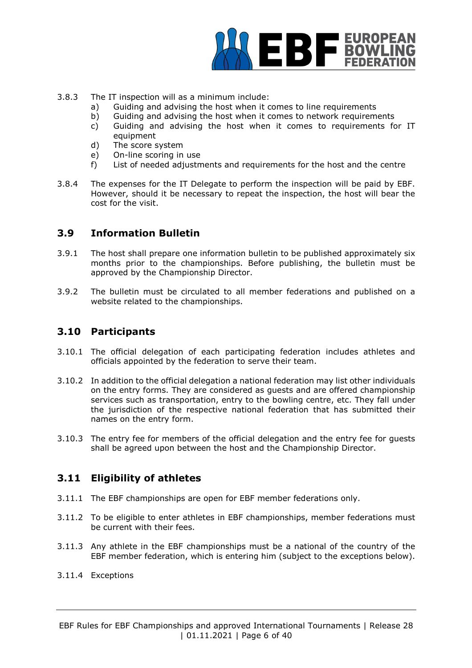

- 3.8.3 The IT inspection will as a minimum include:
	- a) Guiding and advising the host when it comes to line requirements
	- b) Guiding and advising the host when it comes to network requirements
	- c) Guiding and advising the host when it comes to requirements for IT equipment
	- d) The score system
	- e) On-line scoring in use
	- f) List of needed adjustments and requirements for the host and the centre
- 3.8.4 The expenses for the IT Delegate to perform the inspection will be paid by EBF. However, should it be necessary to repeat the inspection, the host will bear the cost for the visit.

### **3.9 Information Bulletin**

- 3.9.1 The host shall prepare one information bulletin to be published approximately six months prior to the championships. Before publishing, the bulletin must be approved by the Championship Director.
- 3.9.2 The bulletin must be circulated to all member federations and published on a website related to the championships.

### **3.10 Participants**

- 3.10.1 The official delegation of each participating federation includes athletes and officials appointed by the federation to serve their team.
- 3.10.2 In addition to the official delegation a national federation may list other individuals on the entry forms. They are considered as guests and are offered championship services such as transportation, entry to the bowling centre, etc. They fall under the jurisdiction of the respective national federation that has submitted their names on the entry form.
- 3.10.3 The entry fee for members of the official delegation and the entry fee for guests shall be agreed upon between the host and the Championship Director.

# **3.11 Eligibility of athletes**

- 3.11.1 The EBF championships are open for EBF member federations only.
- 3.11.2 To be eligible to enter athletes in EBF championships, member federations must be current with their fees.
- 3.11.3 Any athlete in the EBF championships must be a national of the country of the EBF member federation, which is entering him (subject to the exceptions below).
- 3.11.4 Exceptions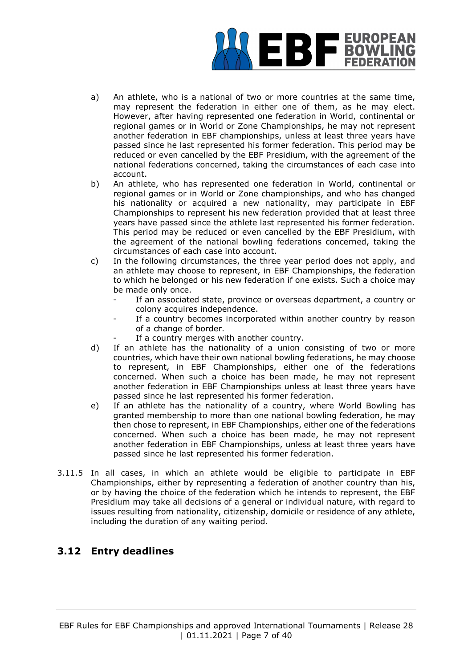

- a) An athlete, who is a national of two or more countries at the same time, may represent the federation in either one of them, as he may elect. However, after having represented one federation in World, continental or regional games or in World or Zone Championships, he may not represent another federation in EBF championships, unless at least three years have passed since he last represented his former federation. This period may be reduced or even cancelled by the EBF Presidium, with the agreement of the national federations concerned, taking the circumstances of each case into account.
- b) An athlete, who has represented one federation in World, continental or regional games or in World or Zone championships, and who has changed his nationality or acquired a new nationality, may participate in EBF Championships to represent his new federation provided that at least three years have passed since the athlete last represented his former federation. This period may be reduced or even cancelled by the EBF Presidium, with the agreement of the national bowling federations concerned, taking the circumstances of each case into account.
- c) In the following circumstances, the three year period does not apply, and an athlete may choose to represent, in EBF Championships, the federation to which he belonged or his new federation if one exists. Such a choice may be made only once.
	- If an associated state, province or overseas department, a country or colony acquires independence.
	- If a country becomes incorporated within another country by reason of a change of border.
	- If a country merges with another country.
- d) If an athlete has the nationality of a union consisting of two or more countries, which have their own national bowling federations, he may choose to represent, in EBF Championships, either one of the federations concerned. When such a choice has been made, he may not represent another federation in EBF Championships unless at least three years have passed since he last represented his former federation.
- e) If an athlete has the nationality of a country, where World Bowling has granted membership to more than one national bowling federation, he may then chose to represent, in EBF Championships, either one of the federations concerned. When such a choice has been made, he may not represent another federation in EBF Championships, unless at least three years have passed since he last represented his former federation.
- 3.11.5 In all cases, in which an athlete would be eligible to participate in EBF Championships, either by representing a federation of another country than his, or by having the choice of the federation which he intends to represent, the EBF Presidium may take all decisions of a general or individual nature, with regard to issues resulting from nationality, citizenship, domicile or residence of any athlete, including the duration of any waiting period.

# **3.12 Entry deadlines**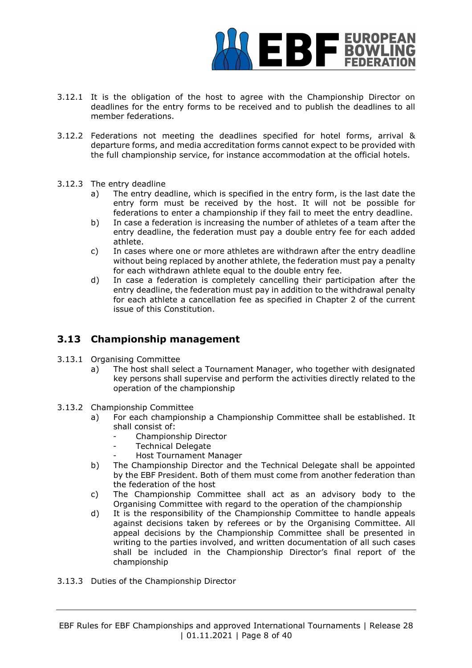

- 3.12.1 It is the obligation of the host to agree with the Championship Director on deadlines for the entry forms to be received and to publish the deadlines to all member federations.
- 3.12.2 Federations not meeting the deadlines specified for hotel forms, arrival & departure forms, and media accreditation forms cannot expect to be provided with the full championship service, for instance accommodation at the official hotels.
- 3.12.3 The entry deadline
	- a) The entry deadline, which is specified in the entry form, is the last date the entry form must be received by the host. It will not be possible for federations to enter a championship if they fail to meet the entry deadline.
	- b) In case a federation is increasing the number of athletes of a team after the entry deadline, the federation must pay a double entry fee for each added athlete.
	- c) In cases where one or more athletes are withdrawn after the entry deadline without being replaced by another athlete, the federation must pay a penalty for each withdrawn athlete equal to the double entry fee.
	- d) In case a federation is completely cancelling their participation after the entry deadline, the federation must pay in addition to the withdrawal penalty for each athlete a cancellation fee as specified in Chapter 2 of the current issue of this Constitution.

# **3.13 Championship management**

- 3.13.1 Organising Committee
	- a) The host shall select a Tournament Manager, who together with designated key persons shall supervise and perform the activities directly related to the operation of the championship
- 3.13.2 Championship Committee
	- a) For each championship a Championship Committee shall be established. It shall consist of:
		- Championship Director
		- Technical Delegate
		- Host Tournament Manager
	- b) The Championship Director and the Technical Delegate shall be appointed by the EBF President. Both of them must come from another federation than the federation of the host
	- c) The Championship Committee shall act as an advisory body to the Organising Committee with regard to the operation of the championship
	- d) It is the responsibility of the Championship Committee to handle appeals against decisions taken by referees or by the Organising Committee. All appeal decisions by the Championship Committee shall be presented in writing to the parties involved, and written documentation of all such cases shall be included in the Championship Director's final report of the championship
- 3.13.3 Duties of the Championship Director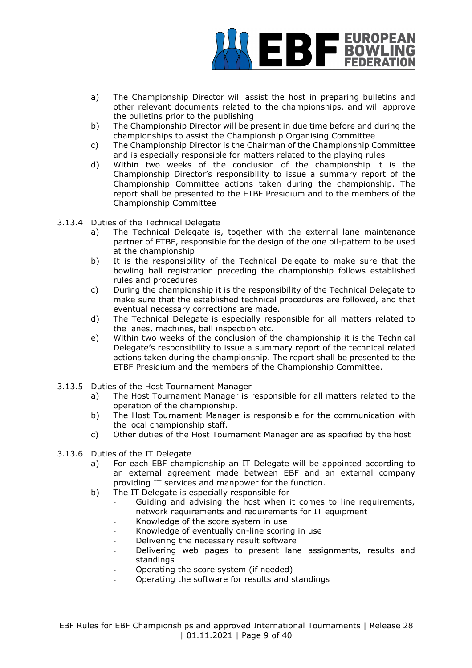

- a) The Championship Director will assist the host in preparing bulletins and other relevant documents related to the championships, and will approve the bulletins prior to the publishing
- b) The Championship Director will be present in due time before and during the championships to assist the Championship Organising Committee
- c) The Championship Director is the Chairman of the Championship Committee and is especially responsible for matters related to the playing rules
- d) Within two weeks of the conclusion of the championship it is the Championship Director's responsibility to issue a summary report of the Championship Committee actions taken during the championship. The report shall be presented to the ETBF Presidium and to the members of the Championship Committee
- 3.13.4 Duties of the Technical Delegate
	- a) The Technical Delegate is, together with the external lane maintenance partner of ETBF, responsible for the design of the one oil-pattern to be used at the championship
	- b) It is the responsibility of the Technical Delegate to make sure that the bowling ball registration preceding the championship follows established rules and procedures
	- c) During the championship it is the responsibility of the Technical Delegate to make sure that the established technical procedures are followed, and that eventual necessary corrections are made.
	- d) The Technical Delegate is especially responsible for all matters related to the lanes, machines, ball inspection etc.
	- e) Within two weeks of the conclusion of the championship it is the Technical Delegate's responsibility to issue a summary report of the technical related actions taken during the championship. The report shall be presented to the ETBF Presidium and the members of the Championship Committee.
- 3.13.5 Duties of the Host Tournament Manager
	- a) The Host Tournament Manager is responsible for all matters related to the operation of the championship.
	- b) The Host Tournament Manager is responsible for the communication with the local championship staff.
	- c) Other duties of the Host Tournament Manager are as specified by the host
- 3.13.6 Duties of the IT Delegate
	- a) For each EBF championship an IT Delegate will be appointed according to an external agreement made between EBF and an external company providing IT services and manpower for the function.
	- b) The IT Delegate is especially responsible for
		- Guiding and advising the host when it comes to line requirements, network requirements and requirements for IT equipment
		- Knowledge of the score system in use
		- Knowledge of eventually on-line scoring in use
		- Delivering the necessary result software
		- Delivering web pages to present lane assignments, results and standings
		- Operating the score system (if needed)
		- Operating the software for results and standings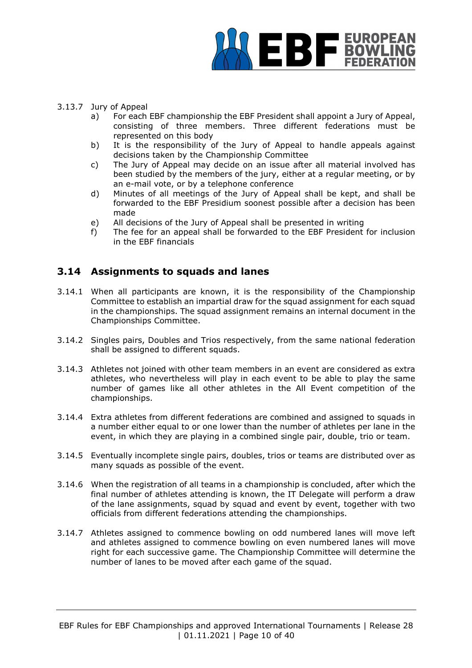

- 3.13.7 Jury of Appeal
	- a) For each EBF championship the EBF President shall appoint a Jury of Appeal, consisting of three members. Three different federations must be represented on this body
	- b) It is the responsibility of the Jury of Appeal to handle appeals against decisions taken by the Championship Committee
	- c) The Jury of Appeal may decide on an issue after all material involved has been studied by the members of the jury, either at a regular meeting, or by an e-mail vote, or by a telephone conference
	- d) Minutes of all meetings of the Jury of Appeal shall be kept, and shall be forwarded to the EBF Presidium soonest possible after a decision has been made
	- e) All decisions of the Jury of Appeal shall be presented in writing
	- f) The fee for an appeal shall be forwarded to the EBF President for inclusion in the EBF financials

# **3.14 Assignments to squads and lanes**

- 3.14.1 When all participants are known, it is the responsibility of the Championship Committee to establish an impartial draw for the squad assignment for each squad in the championships. The squad assignment remains an internal document in the Championships Committee.
- 3.14.2 Singles pairs, Doubles and Trios respectively, from the same national federation shall be assigned to different squads.
- 3.14.3 Athletes not joined with other team members in an event are considered as extra athletes, who nevertheless will play in each event to be able to play the same number of games like all other athletes in the All Event competition of the championships.
- 3.14.4 Extra athletes from different federations are combined and assigned to squads in a number either equal to or one lower than the number of athletes per lane in the event, in which they are playing in a combined single pair, double, trio or team.
- 3.14.5 Eventually incomplete single pairs, doubles, trios or teams are distributed over as many squads as possible of the event.
- 3.14.6 When the registration of all teams in a championship is concluded, after which the final number of athletes attending is known, the IT Delegate will perform a draw of the lane assignments, squad by squad and event by event, together with two officials from different federations attending the championships.
- 3.14.7 Athletes assigned to commence bowling on odd numbered lanes will move left and athletes assigned to commence bowling on even numbered lanes will move right for each successive game. The Championship Committee will determine the number of lanes to be moved after each game of the squad.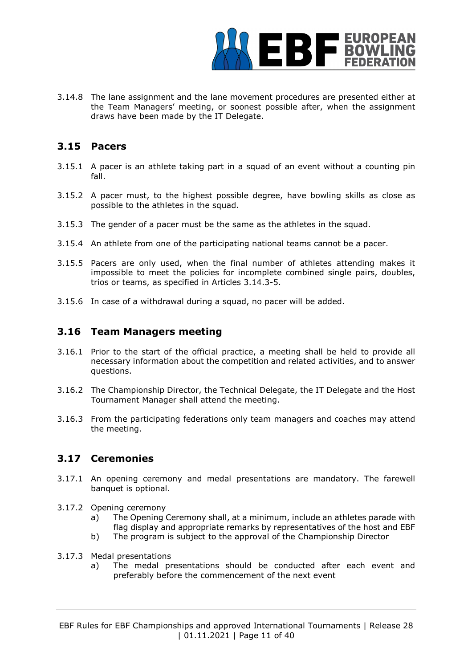

3.14.8 The lane assignment and the lane movement procedures are presented either at the Team Managers' meeting, or soonest possible after, when the assignment draws have been made by the IT Delegate.

### **3.15 Pacers**

- 3.15.1 A pacer is an athlete taking part in a squad of an event without a counting pin fall.
- 3.15.2 A pacer must, to the highest possible degree, have bowling skills as close as possible to the athletes in the squad.
- 3.15.3 The gender of a pacer must be the same as the athletes in the squad.
- 3.15.4 An athlete from one of the participating national teams cannot be a pacer.
- 3.15.5 Pacers are only used, when the final number of athletes attending makes it impossible to meet the policies for incomplete combined single pairs, doubles, trios or teams, as specified in Articles 3.14.3-5.
- 3.15.6 In case of a withdrawal during a squad, no pacer will be added.

#### **3.16 Team Managers meeting**

- 3.16.1 Prior to the start of the official practice, a meeting shall be held to provide all necessary information about the competition and related activities, and to answer questions.
- 3.16.2 The Championship Director, the Technical Delegate, the IT Delegate and the Host Tournament Manager shall attend the meeting.
- 3.16.3 From the participating federations only team managers and coaches may attend the meeting.

### **3.17 Ceremonies**

- 3.17.1 An opening ceremony and medal presentations are mandatory. The farewell banquet is optional.
- 3.17.2 Opening ceremony
	- a) The Opening Ceremony shall, at a minimum, include an athletes parade with flag display and appropriate remarks by representatives of the host and EBF
	- b) The program is subject to the approval of the Championship Director
- 3.17.3 Medal presentations
	- a) The medal presentations should be conducted after each event and preferably before the commencement of the next event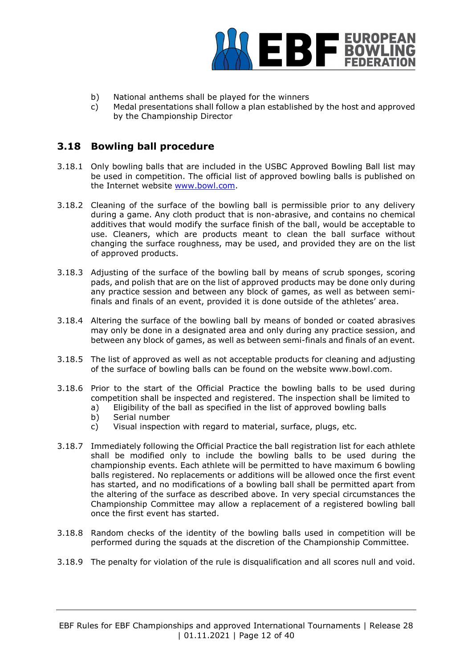

- b) National anthems shall be played for the winners
- c) Medal presentations shall follow a plan established by the host and approved by the Championship Director

# **3.18 Bowling ball procedure**

- 3.18.1 Only bowling balls that are included in the USBC Approved Bowling Ball list may be used in competition. The official list of approved bowling balls is published on the Internet website www.bowl.com.
- 3.18.2 Cleaning of the surface of the bowling ball is permissible prior to any delivery during a game. Any cloth product that is non-abrasive, and contains no chemical additives that would modify the surface finish of the ball, would be acceptable to use. Cleaners, which are products meant to clean the ball surface without changing the surface roughness, may be used, and provided they are on the list of approved products.
- 3.18.3 Adjusting of the surface of the bowling ball by means of scrub sponges, scoring pads, and polish that are on the list of approved products may be done only during any practice session and between any block of games, as well as between semifinals and finals of an event, provided it is done outside of the athletes' area.
- 3.18.4 Altering the surface of the bowling ball by means of bonded or coated abrasives may only be done in a designated area and only during any practice session, and between any block of games, as well as between semi-finals and finals of an event.
- 3.18.5 The list of approved as well as not acceptable products for cleaning and adjusting of the surface of bowling balls can be found on the website www.bowl.com.
- 3.18.6 Prior to the start of the Official Practice the bowling balls to be used during competition shall be inspected and registered. The inspection shall be limited to
	- a) Eligibility of the ball as specified in the list of approved bowling balls
	- b) Serial number
	- c) Visual inspection with regard to material, surface, plugs, etc.
- 3.18.7 Immediately following the Official Practice the ball registration list for each athlete shall be modified only to include the bowling balls to be used during the championship events. Each athlete will be permitted to have maximum 6 bowling balls registered. No replacements or additions will be allowed once the first event has started, and no modifications of a bowling ball shall be permitted apart from the altering of the surface as described above. In very special circumstances the Championship Committee may allow a replacement of a registered bowling ball once the first event has started.
- 3.18.8 Random checks of the identity of the bowling balls used in competition will be performed during the squads at the discretion of the Championship Committee.
- 3.18.9 The penalty for violation of the rule is disqualification and all scores null and void.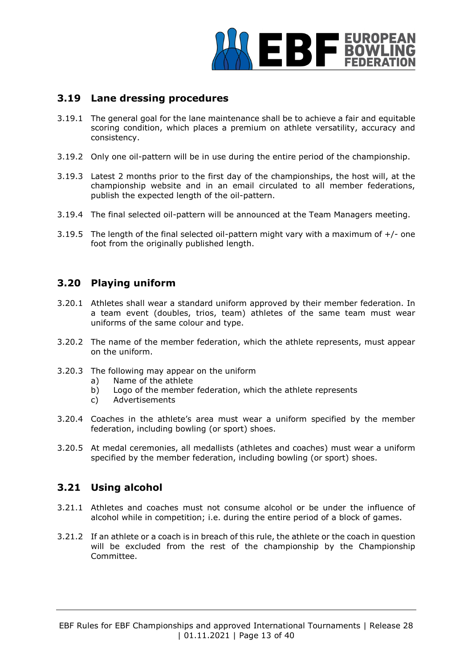

# **3.19 Lane dressing procedures**

- 3.19.1 The general goal for the lane maintenance shall be to achieve a fair and equitable scoring condition, which places a premium on athlete versatility, accuracy and consistency.
- 3.19.2 Only one oil-pattern will be in use during the entire period of the championship.
- 3.19.3 Latest 2 months prior to the first day of the championships, the host will, at the championship website and in an email circulated to all member federations, publish the expected length of the oil-pattern.
- 3.19.4 The final selected oil-pattern will be announced at the Team Managers meeting.
- 3.19.5 The length of the final selected oil-pattern might vary with a maximum of  $+/-$  one foot from the originally published length.

# **3.20 Playing uniform**

- 3.20.1 Athletes shall wear a standard uniform approved by their member federation. In a team event (doubles, trios, team) athletes of the same team must wear uniforms of the same colour and type.
- 3.20.2 The name of the member federation, which the athlete represents, must appear on the uniform.
- 3.20.3 The following may appear on the uniform
	- a) Name of the athlete
	- b) Logo of the member federation, which the athlete represents
	- c) Advertisements
- 3.20.4 Coaches in the athlete's area must wear a uniform specified by the member federation, including bowling (or sport) shoes.
- 3.20.5 At medal ceremonies, all medallists (athletes and coaches) must wear a uniform specified by the member federation, including bowling (or sport) shoes.

# **3.21 Using alcohol**

- 3.21.1 Athletes and coaches must not consume alcohol or be under the influence of alcohol while in competition; i.e. during the entire period of a block of games.
- 3.21.2 If an athlete or a coach is in breach of this rule, the athlete or the coach in question will be excluded from the rest of the championship by the Championship Committee.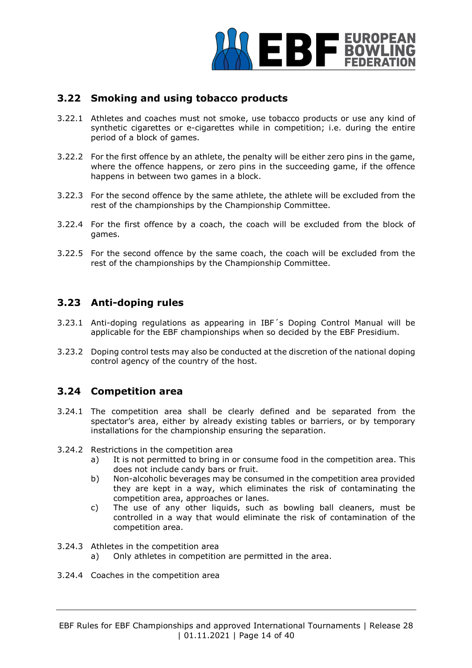

# **3.22 Smoking and using tobacco products**

- 3.22.1 Athletes and coaches must not smoke, use tobacco products or use any kind of synthetic cigarettes or e-cigarettes while in competition; i.e. during the entire period of a block of games.
- 3.22.2 For the first offence by an athlete, the penalty will be either zero pins in the game, where the offence happens, or zero pins in the succeeding game, if the offence happens in between two games in a block.
- 3.22.3 For the second offence by the same athlete, the athlete will be excluded from the rest of the championships by the Championship Committee.
- 3.22.4 For the first offence by a coach, the coach will be excluded from the block of games.
- 3.22.5 For the second offence by the same coach, the coach will be excluded from the rest of the championships by the Championship Committee.

# **3.23 Anti-doping rules**

- 3.23.1 Anti-doping regulations as appearing in IBF´s Doping Control Manual will be applicable for the EBF championships when so decided by the EBF Presidium.
- 3.23.2 Doping control tests may also be conducted at the discretion of the national doping control agency of the country of the host.

# **3.24 Competition area**

- 3.24.1 The competition area shall be clearly defined and be separated from the spectator's area, either by already existing tables or barriers, or by temporary installations for the championship ensuring the separation.
- 3.24.2 Restrictions in the competition area
	- a) It is not permitted to bring in or consume food in the competition area. This does not include candy bars or fruit.
	- b) Non-alcoholic beverages may be consumed in the competition area provided they are kept in a way, which eliminates the risk of contaminating the competition area, approaches or lanes.
	- c) The use of any other liquids, such as bowling ball cleaners, must be controlled in a way that would eliminate the risk of contamination of the competition area.
- 3.24.3 Athletes in the competition area
	- a) Only athletes in competition are permitted in the area.
- 3.24.4 Coaches in the competition area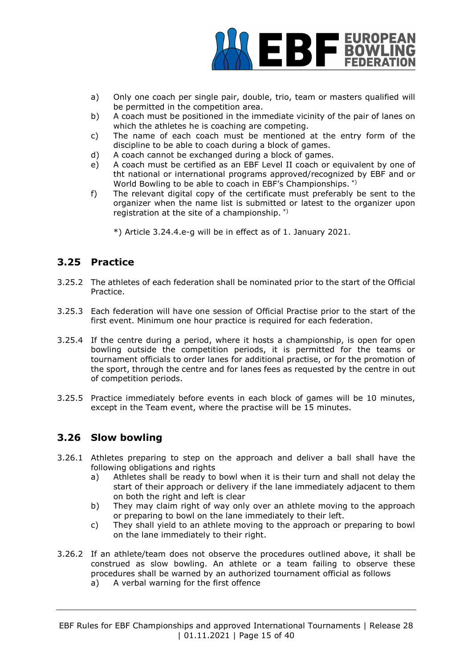

- a) Only one coach per single pair, double, trio, team or masters qualified will be permitted in the competition area.
- b) A coach must be positioned in the immediate vicinity of the pair of lanes on which the athletes he is coaching are competing.
- c) The name of each coach must be mentioned at the entry form of the discipline to be able to coach during a block of games.
- d) A coach cannot be exchanged during a block of games.
- e) A coach must be certified as an EBF Level II coach or equivalent by one of tht national or international programs approved/recognized by EBF and or World Bowling to be able to coach in EBF's Championships. \*)
- f) The relevant digital copy of the certificate must preferably be sent to the organizer when the name list is submitted or latest to the organizer upon registration at the site of a championship. \*)
	- \*) Article 3.24.4.e-g will be in effect as of 1. January 2021.

# **3.25 Practice**

- 3.25.2 The athletes of each federation shall be nominated prior to the start of the Official Practice.
- 3.25.3 Each federation will have one session of Official Practise prior to the start of the first event. Minimum one hour practice is required for each federation.
- 3.25.4 If the centre during a period, where it hosts a championship, is open for open bowling outside the competition periods, it is permitted for the teams or tournament officials to order lanes for additional practise, or for the promotion of the sport, through the centre and for lanes fees as requested by the centre in out of competition periods.
- 3.25.5 Practice immediately before events in each block of games will be 10 minutes, except in the Team event, where the practise will be 15 minutes.

# **3.26 Slow bowling**

- 3.26.1 Athletes preparing to step on the approach and deliver a ball shall have the following obligations and rights
	- a) Athletes shall be ready to bowl when it is their turn and shall not delay the start of their approach or delivery if the lane immediately adjacent to them on both the right and left is clear
	- b) They may claim right of way only over an athlete moving to the approach or preparing to bowl on the lane immediately to their left.
	- c) They shall yield to an athlete moving to the approach or preparing to bowl on the lane immediately to their right.
- 3.26.2 If an athlete/team does not observe the procedures outlined above, it shall be construed as slow bowling. An athlete or a team failing to observe these procedures shall be warned by an authorized tournament official as follows
	- a) A verbal warning for the first offence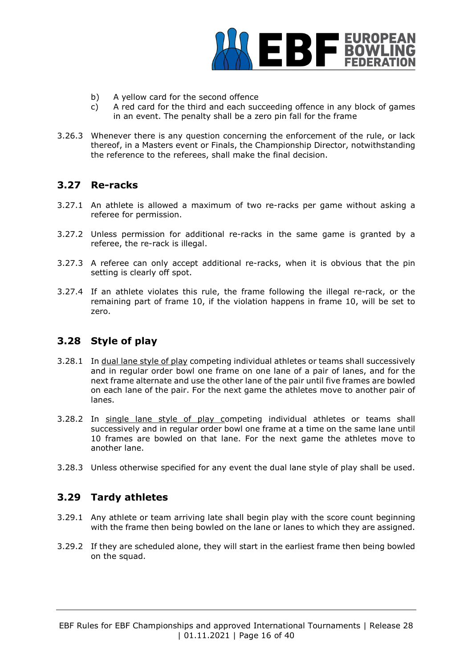

- b) A yellow card for the second offence
- c) A red card for the third and each succeeding offence in any block of games in an event. The penalty shall be a zero pin fall for the frame
- 3.26.3 Whenever there is any question concerning the enforcement of the rule, or lack thereof, in a Masters event or Finals, the Championship Director, notwithstanding the reference to the referees, shall make the final decision.

## **3.27 Re-racks**

- 3.27.1 An athlete is allowed a maximum of two re-racks per game without asking a referee for permission.
- 3.27.2 Unless permission for additional re-racks in the same game is granted by a referee, the re-rack is illegal.
- 3.27.3 A referee can only accept additional re-racks, when it is obvious that the pin setting is clearly off spot.
- 3.27.4 If an athlete violates this rule, the frame following the illegal re-rack, or the remaining part of frame 10, if the violation happens in frame 10, will be set to zero.

#### **3.28 Style of play**

- 3.28.1 In dual lane style of play competing individual athletes or teams shall successively and in regular order bowl one frame on one lane of a pair of lanes, and for the next frame alternate and use the other lane of the pair until five frames are bowled on each lane of the pair. For the next game the athletes move to another pair of lanes.
- 3.28.2 In single lane style of play competing individual athletes or teams shall successively and in regular order bowl one frame at a time on the same lane until 10 frames are bowled on that lane. For the next game the athletes move to another lane.
- 3.28.3 Unless otherwise specified for any event the dual lane style of play shall be used.

# **3.29 Tardy athletes**

- 3.29.1 Any athlete or team arriving late shall begin play with the score count beginning with the frame then being bowled on the lane or lanes to which they are assigned.
- 3.29.2 If they are scheduled alone, they will start in the earliest frame then being bowled on the squad.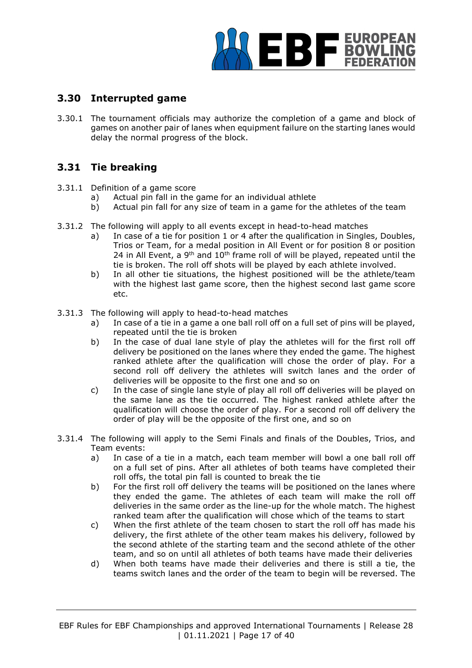

# **3.30 Interrupted game**

3.30.1 The tournament officials may authorize the completion of a game and block of games on another pair of lanes when equipment failure on the starting lanes would delay the normal progress of the block.

# **3.31 Tie breaking**

- 3.31.1 Definition of a game score
	- a) Actual pin fall in the game for an individual athlete
	- b) Actual pin fall for any size of team in a game for the athletes of the team
- 3.31.2 The following will apply to all events except in head-to-head matches
	- a) In case of a tie for position 1 or 4 after the qualification in Singles, Doubles, Trios or Team, for a medal position in All Event or for position 8 or position 24 in All Event, a  $9<sup>th</sup>$  and  $10<sup>th</sup>$  frame roll of will be played, repeated until the tie is broken. The roll off shots will be played by each athlete involved.
	- b) In all other tie situations, the highest positioned will be the athlete/team with the highest last game score, then the highest second last game score etc.
- 3.31.3 The following will apply to head-to-head matches
	- a) In case of a tie in a game a one ball roll off on a full set of pins will be played, repeated until the tie is broken
	- b) In the case of dual lane style of play the athletes will for the first roll off delivery be positioned on the lanes where they ended the game. The highest ranked athlete after the qualification will chose the order of play. For a second roll off delivery the athletes will switch lanes and the order of deliveries will be opposite to the first one and so on
	- c) In the case of single lane style of play all roll off deliveries will be played on the same lane as the tie occurred. The highest ranked athlete after the qualification will choose the order of play. For a second roll off delivery the order of play will be the opposite of the first one, and so on
- 3.31.4 The following will apply to the Semi Finals and finals of the Doubles, Trios, and Team events:
	- a) In case of a tie in a match, each team member will bowl a one ball roll off on a full set of pins. After all athletes of both teams have completed their roll offs, the total pin fall is counted to break the tie
	- b) For the first roll off delivery the teams will be positioned on the lanes where they ended the game. The athletes of each team will make the roll off deliveries in the same order as the line-up for the whole match. The highest ranked team after the qualification will chose which of the teams to start
	- c) When the first athlete of the team chosen to start the roll off has made his delivery, the first athlete of the other team makes his delivery, followed by the second athlete of the starting team and the second athlete of the other team, and so on until all athletes of both teams have made their deliveries
	- d) When both teams have made their deliveries and there is still a tie, the teams switch lanes and the order of the team to begin will be reversed. The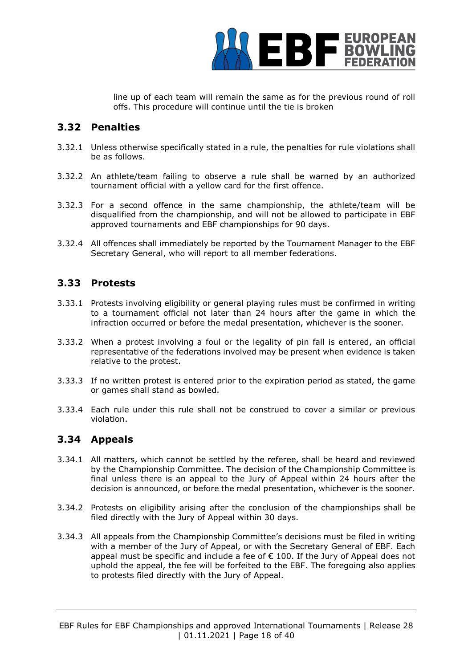

line up of each team will remain the same as for the previous round of roll offs. This procedure will continue until the tie is broken

## **3.32 Penalties**

- 3.32.1 Unless otherwise specifically stated in a rule, the penalties for rule violations shall be as follows.
- 3.32.2 An athlete/team failing to observe a rule shall be warned by an authorized tournament official with a yellow card for the first offence.
- 3.32.3 For a second offence in the same championship, the athlete/team will be disqualified from the championship, and will not be allowed to participate in EBF approved tournaments and EBF championships for 90 days.
- 3.32.4 All offences shall immediately be reported by the Tournament Manager to the EBF Secretary General, who will report to all member federations.

## **3.33 Protests**

- 3.33.1 Protests involving eligibility or general playing rules must be confirmed in writing to a tournament official not later than 24 hours after the game in which the infraction occurred or before the medal presentation, whichever is the sooner.
- 3.33.2 When a protest involving a foul or the legality of pin fall is entered, an official representative of the federations involved may be present when evidence is taken relative to the protest.
- 3.33.3 If no written protest is entered prior to the expiration period as stated, the game or games shall stand as bowled.
- 3.33.4 Each rule under this rule shall not be construed to cover a similar or previous violation.

# **3.34 Appeals**

- 3.34.1 All matters, which cannot be settled by the referee, shall be heard and reviewed by the Championship Committee. The decision of the Championship Committee is final unless there is an appeal to the Jury of Appeal within 24 hours after the decision is announced, or before the medal presentation, whichever is the sooner.
- 3.34.2 Protests on eligibility arising after the conclusion of the championships shall be filed directly with the Jury of Appeal within 30 days.
- 3.34.3 All appeals from the Championship Committee's decisions must be filed in writing with a member of the Jury of Appeal, or with the Secretary General of EBF. Each appeal must be specific and include a fee of  $\epsilon$  100. If the Jury of Appeal does not uphold the appeal, the fee will be forfeited to the EBF. The foregoing also applies to protests filed directly with the Jury of Appeal.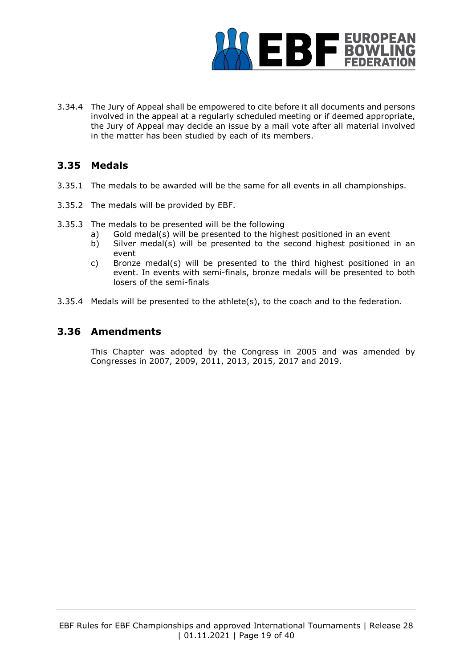

3.34.4 The Jury of Appeal shall be empowered to cite before it all documents and persons involved in the appeal at a regularly scheduled meeting or if deemed appropriate, the Jury of Appeal may decide an issue by a mail vote after all material involved in the matter has been studied by each of its members.

# **3.35 Medals**

- 3.35.1 The medals to be awarded will be the same for all events in all championships.
- 3.35.2 The medals will be provided by EBF.
- 3.35.3 The medals to be presented will be the following
	- a) Gold medal(s) will be presented to the highest positioned in an event
	- b) Silver medal(s) will be presented to the second highest positioned in an event
	- c) Bronze medal(s) will be presented to the third highest positioned in an event. In events with semi-finals, bronze medals will be presented to both losers of the semi-finals
- 3.35.4 Medals will be presented to the athlete(s), to the coach and to the federation.

## **3.36 Amendments**

This Chapter was adopted by the Congress in 2005 and was amended by Congresses in 2007, 2009, 2011, 2013, 2015, 2017 and 2019.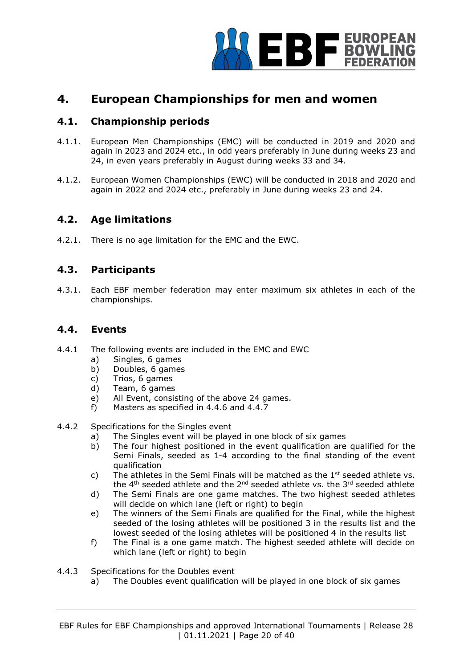

# **4. European Championships for men and women**

# **4.1. Championship periods**

- 4.1.1. European Men Championships (EMC) will be conducted in 2019 and 2020 and again in 2023 and 2024 etc., in odd years preferably in June during weeks 23 and 24, in even years preferably in August during weeks 33 and 34.
- 4.1.2. European Women Championships (EWC) will be conducted in 2018 and 2020 and again in 2022 and 2024 etc., preferably in June during weeks 23 and 24.

## **4.2. Age limitations**

4.2.1. There is no age limitation for the EMC and the EWC.

## **4.3. Participants**

4.3.1. Each EBF member federation may enter maximum six athletes in each of the championships.

#### **4.4. Events**

- 4.4.1 The following events are included in the EMC and EWC
	- a) Singles, 6 games
	- b) Doubles, 6 games
	- c) Trios, 6 games
	- d) Team, 6 games
	- e) All Event, consisting of the above 24 games.
	- f) Masters as specified in 4.4.6 and 4.4.7
- 4.4.2 Specifications for the Singles event
	- a) The Singles event will be played in one block of six games
	- b) The four highest positioned in the event qualification are qualified for the Semi Finals, seeded as 1-4 according to the final standing of the event qualification
	- c) The athletes in the Semi Finals will be matched as the  $1<sup>st</sup>$  seeded athlete vs. the  $4<sup>th</sup>$  seeded athlete and the  $2<sup>nd</sup>$  seeded athlete vs. the  $3<sup>rd</sup>$  seeded athlete
	- d) The Semi Finals are one game matches. The two highest seeded athletes will decide on which lane (left or right) to begin
	- e) The winners of the Semi Finals are qualified for the Final, while the highest seeded of the losing athletes will be positioned 3 in the results list and the lowest seeded of the losing athletes will be positioned 4 in the results list
	- f) The Final is a one game match. The highest seeded athlete will decide on which lane (left or right) to begin

#### 4.4.3 Specifications for the Doubles event

a) The Doubles event qualification will be played in one block of six games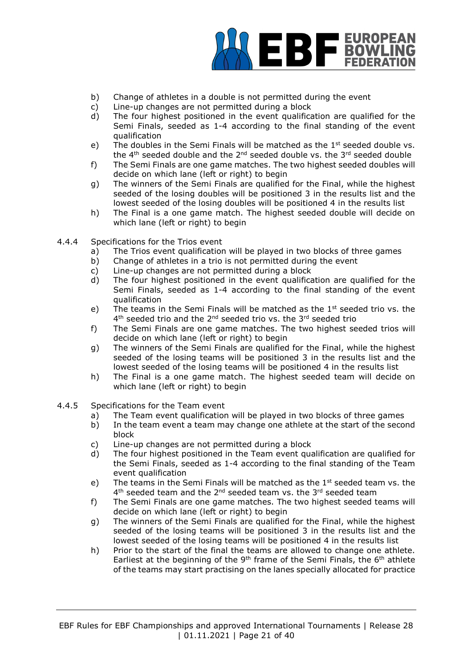

- b) Change of athletes in a double is not permitted during the event
- c) Line-up changes are not permitted during a block
- d) The four highest positioned in the event qualification are qualified for the Semi Finals, seeded as 1-4 according to the final standing of the event qualification
- e) The doubles in the Semi Finals will be matched as the  $1<sup>st</sup>$  seeded double vs. the  $4<sup>th</sup>$  seeded double and the  $2<sup>nd</sup>$  seeded double vs. the  $3<sup>rd</sup>$  seeded double
- f) The Semi Finals are one game matches. The two highest seeded doubles will decide on which lane (left or right) to begin
- g) The winners of the Semi Finals are qualified for the Final, while the highest seeded of the losing doubles will be positioned 3 in the results list and the lowest seeded of the losing doubles will be positioned 4 in the results list
- h) The Final is a one game match. The highest seeded double will decide on which lane (left or right) to begin
- 4.4.4 Specifications for the Trios event
	- a) The Trios event qualification will be played in two blocks of three games
	- b) Change of athletes in a trio is not permitted during the event
	- c) Line-up changes are not permitted during a block
	- d) The four highest positioned in the event qualification are qualified for the Semi Finals, seeded as 1-4 according to the final standing of the event qualification
	- e) The teams in the Semi Finals will be matched as the  $1<sup>st</sup>$  seeded trio vs. the 4<sup>th</sup> seeded trio and the 2<sup>nd</sup> seeded trio vs. the 3<sup>rd</sup> seeded trio
	- f) The Semi Finals are one game matches. The two highest seeded trios will decide on which lane (left or right) to begin
	- g) The winners of the Semi Finals are qualified for the Final, while the highest seeded of the losing teams will be positioned 3 in the results list and the lowest seeded of the losing teams will be positioned 4 in the results list
	- h) The Final is a one game match. The highest seeded team will decide on which lane (left or right) to begin
- 4.4.5 Specifications for the Team event
	- a) The Team event qualification will be played in two blocks of three games
	- b) In the team event a team may change one athlete at the start of the second block
	- c) Line-up changes are not permitted during a block
	- d) The four highest positioned in the Team event qualification are qualified for the Semi Finals, seeded as 1-4 according to the final standing of the Team event qualification
	- e) The teams in the Semi Finals will be matched as the  $1<sup>st</sup>$  seeded team vs. the 4<sup>th</sup> seeded team and the 2<sup>nd</sup> seeded team vs. the 3<sup>rd</sup> seeded team
	- f) The Semi Finals are one game matches. The two highest seeded teams will decide on which lane (left or right) to begin
	- g) The winners of the Semi Finals are qualified for the Final, while the highest seeded of the losing teams will be positioned 3 in the results list and the lowest seeded of the losing teams will be positioned 4 in the results list
	- h) Prior to the start of the final the teams are allowed to change one athlete. Earliest at the beginning of the 9<sup>th</sup> frame of the Semi Finals, the  $6<sup>th</sup>$  athlete of the teams may start practising on the lanes specially allocated for practice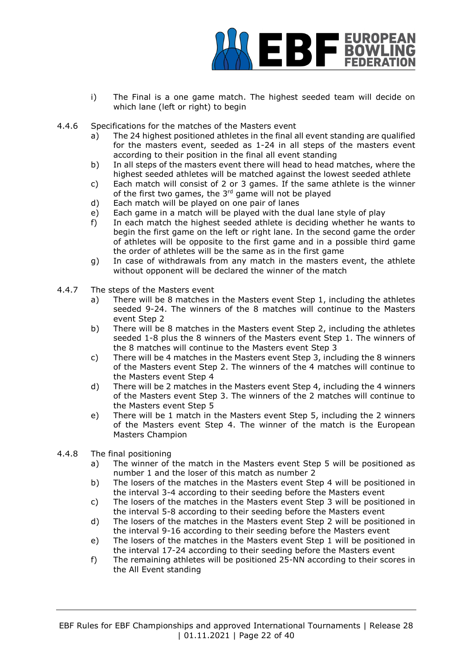

- i) The Final is a one game match. The highest seeded team will decide on which lane (left or right) to begin
- 4.4.6 Specifications for the matches of the Masters event
	- a) The 24 highest positioned athletes in the final all event standing are qualified for the masters event, seeded as 1-24 in all steps of the masters event according to their position in the final all event standing
	- b) In all steps of the masters event there will head to head matches, where the highest seeded athletes will be matched against the lowest seeded athlete
	- c) Each match will consist of 2 or 3 games. If the same athlete is the winner of the first two games, the  $3<sup>rd</sup>$  game will not be played
	- d) Each match will be played on one pair of lanes
	- e) Each game in a match will be played with the dual lane style of play
	- f) In each match the highest seeded athlete is deciding whether he wants to begin the first game on the left or right lane. In the second game the order of athletes will be opposite to the first game and in a possible third game the order of athletes will be the same as in the first game
	- g) In case of withdrawals from any match in the masters event, the athlete without opponent will be declared the winner of the match
- 4.4.7 The steps of the Masters event
	- a) There will be 8 matches in the Masters event Step 1, including the athletes seeded 9-24. The winners of the 8 matches will continue to the Masters event Step 2
	- b) There will be 8 matches in the Masters event Step 2, including the athletes seeded 1-8 plus the 8 winners of the Masters event Step 1. The winners of the 8 matches will continue to the Masters event Step 3
	- c) There will be 4 matches in the Masters event Step 3, including the 8 winners of the Masters event Step 2. The winners of the 4 matches will continue to the Masters event Step 4
	- d) There will be 2 matches in the Masters event Step 4, including the 4 winners of the Masters event Step 3. The winners of the 2 matches will continue to the Masters event Step 5
	- e) There will be 1 match in the Masters event Step 5, including the 2 winners of the Masters event Step 4. The winner of the match is the European Masters Champion
- 4.4.8 The final positioning
	- a) The winner of the match in the Masters event Step 5 will be positioned as number 1 and the loser of this match as number 2
	- b) The losers of the matches in the Masters event Step 4 will be positioned in the interval 3-4 according to their seeding before the Masters event
	- c) The losers of the matches in the Masters event Step 3 will be positioned in the interval 5-8 according to their seeding before the Masters event
	- d) The losers of the matches in the Masters event Step 2 will be positioned in the interval 9-16 according to their seeding before the Masters event
	- e) The losers of the matches in the Masters event Step 1 will be positioned in the interval 17-24 according to their seeding before the Masters event
	- f) The remaining athletes will be positioned 25-NN according to their scores in the All Event standing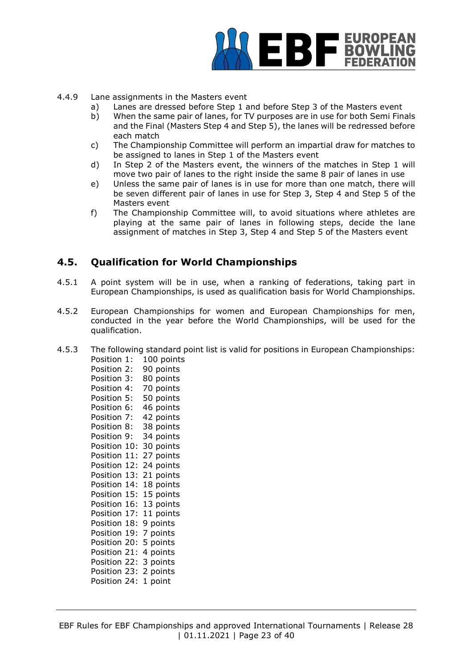

- 4.4.9 Lane assignments in the Masters event
	- a) Lanes are dressed before Step 1 and before Step 3 of the Masters event
	- b) When the same pair of lanes, for TV purposes are in use for both Semi Finals and the Final (Masters Step 4 and Step 5), the lanes will be redressed before each match
	- c) The Championship Committee will perform an impartial draw for matches to be assigned to lanes in Step 1 of the Masters event
	- d) In Step 2 of the Masters event, the winners of the matches in Step 1 will move two pair of lanes to the right inside the same 8 pair of lanes in use
	- e) Unless the same pair of lanes is in use for more than one match, there will be seven different pair of lanes in use for Step 3, Step 4 and Step 5 of the Masters event
	- f) The Championship Committee will, to avoid situations where athletes are playing at the same pair of lanes in following steps, decide the lane assignment of matches in Step 3, Step 4 and Step 5 of the Masters event

## **4.5. Qualification for World Championships**

- 4.5.1 A point system will be in use, when a ranking of federations, taking part in European Championships, is used as qualification basis for World Championships.
- 4.5.2 European Championships for women and European Championships for men, conducted in the year before the World Championships, will be used for the qualification.
- 4.5.3 The following standard point list is valid for positions in European Championships: Position 1: 100 points

Position 2: 90 points Position 3: 80 points Position 4: 70 points Position 5: 50 points Position 6: 46 points Position 7: 42 points Position 8: 38 points Position 9: 34 points Position 10: 30 points Position 11: 27 points Position 12: 24 points Position 13: 21 points Position 14: 18 points Position 15: 15 points Position 16: 13 points Position 17: 11 points Position 18: 9 points Position 19: 7 points Position 20: 5 points Position 21: 4 points Position 22: 3 points Position 23: 2 points Position 24: 1 point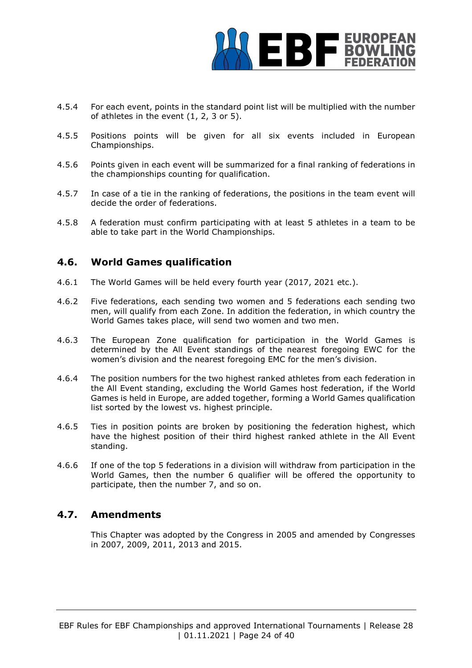

- 4.5.4 For each event, points in the standard point list will be multiplied with the number of athletes in the event (1, 2, 3 or 5).
- 4.5.5 Positions points will be given for all six events included in European Championships.
- 4.5.6 Points given in each event will be summarized for a final ranking of federations in the championships counting for qualification.
- 4.5.7 In case of a tie in the ranking of federations, the positions in the team event will decide the order of federations.
- 4.5.8 A federation must confirm participating with at least 5 athletes in a team to be able to take part in the World Championships.

## **4.6. World Games qualification**

- 4.6.1 The World Games will be held every fourth year (2017, 2021 etc.).
- 4.6.2 Five federations, each sending two women and 5 federations each sending two men, will qualify from each Zone. In addition the federation, in which country the World Games takes place, will send two women and two men.
- 4.6.3 The European Zone qualification for participation in the World Games is determined by the All Event standings of the nearest foregoing EWC for the women's division and the nearest foregoing EMC for the men's division.
- 4.6.4 The position numbers for the two highest ranked athletes from each federation in the All Event standing, excluding the World Games host federation, if the World Games is held in Europe, are added together, forming a World Games qualification list sorted by the lowest vs. highest principle.
- 4.6.5 Ties in position points are broken by positioning the federation highest, which have the highest position of their third highest ranked athlete in the All Event standing.
- 4.6.6 If one of the top 5 federations in a division will withdraw from participation in the World Games, then the number 6 qualifier will be offered the opportunity to participate, then the number 7, and so on.

# **4.7. Amendments**

This Chapter was adopted by the Congress in 2005 and amended by Congresses in 2007, 2009, 2011, 2013 and 2015.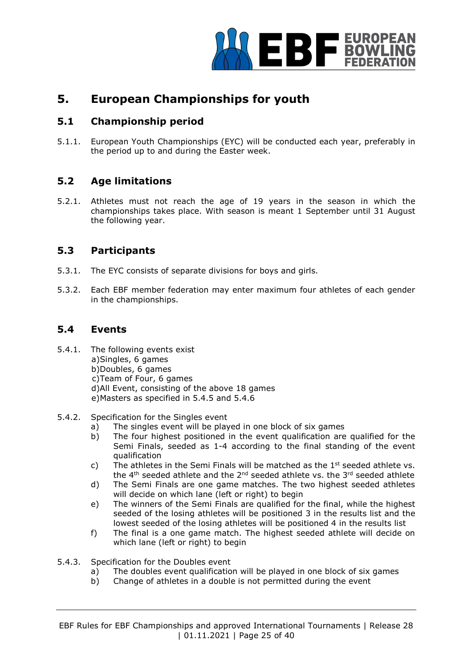

# **5. European Championships for youth**

# **5.1 Championship period**

5.1.1. European Youth Championships (EYC) will be conducted each year, preferably in the period up to and during the Easter week.

# **5.2 Age limitations**

5.2.1. Athletes must not reach the age of 19 years in the season in which the championships takes place. With season is meant 1 September until 31 August the following year.

## **5.3 Participants**

- 5.3.1. The EYC consists of separate divisions for boys and girls.
- 5.3.2. Each EBF member federation may enter maximum four athletes of each gender in the championships.

## **5.4 Events**

- 5.4.1. The following events exist a)Singles, 6 games b)Doubles, 6 games c)Team of Four, 6 games d)All Event, consisting of the above 18 games e)Masters as specified in 5.4.5 and 5.4.6
- 5.4.2. Specification for the Singles event
	- a) The singles event will be played in one block of six games
	- b) The four highest positioned in the event qualification are qualified for the Semi Finals, seeded as 1-4 according to the final standing of the event qualification
	- c) The athletes in the Semi Finals will be matched as the  $1<sup>st</sup>$  seeded athlete vs. the  $4<sup>th</sup>$  seeded athlete and the  $2<sup>nd</sup>$  seeded athlete vs. the  $3<sup>rd</sup>$  seeded athlete
	- d) The Semi Finals are one game matches. The two highest seeded athletes will decide on which lane (left or right) to begin
	- e) The winners of the Semi Finals are qualified for the final, while the highest seeded of the losing athletes will be positioned 3 in the results list and the lowest seeded of the losing athletes will be positioned 4 in the results list
	- f) The final is a one game match. The highest seeded athlete will decide on which lane (left or right) to begin
- 5.4.3. Specification for the Doubles event
	- a) The doubles event qualification will be played in one block of six games
	- b) Change of athletes in a double is not permitted during the event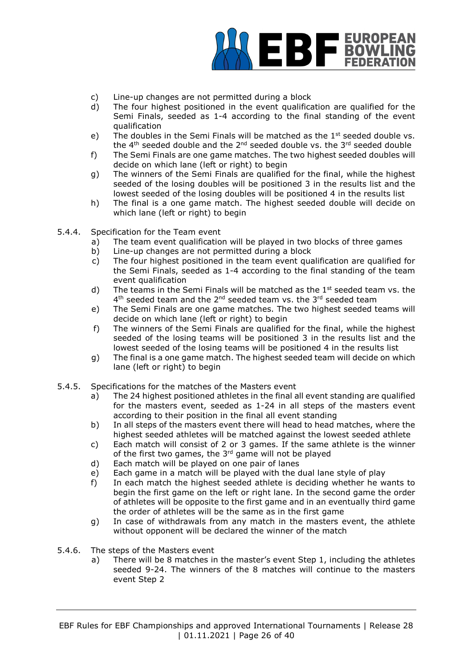

- c) Line-up changes are not permitted during a block
- d) The four highest positioned in the event qualification are qualified for the Semi Finals, seeded as 1-4 according to the final standing of the event qualification
- e) The doubles in the Semi Finals will be matched as the  $1<sup>st</sup>$  seeded double vs. the 4<sup>th</sup> seeded double and the  $2^{nd}$  seeded double vs. the 3<sup>rd</sup> seeded double
- f) The Semi Finals are one game matches. The two highest seeded doubles will decide on which lane (left or right) to begin
- g) The winners of the Semi Finals are qualified for the final, while the highest seeded of the losing doubles will be positioned 3 in the results list and the lowest seeded of the losing doubles will be positioned 4 in the results list
- h) The final is a one game match. The highest seeded double will decide on which lane (left or right) to begin
- 5.4.4. Specification for the Team event
	- a) The team event qualification will be played in two blocks of three games
	- b) Line-up changes are not permitted during a block
	- c) The four highest positioned in the team event qualification are qualified for the Semi Finals, seeded as 1-4 according to the final standing of the team event qualification
	- d) The teams in the Semi Finals will be matched as the  $1<sup>st</sup>$  seeded team vs. the 4<sup>th</sup> seeded team and the 2<sup>nd</sup> seeded team vs. the 3<sup>rd</sup> seeded team
	- e) The Semi Finals are one game matches. The two highest seeded teams will decide on which lane (left or right) to begin
	- f) The winners of the Semi Finals are qualified for the final, while the highest seeded of the losing teams will be positioned 3 in the results list and the lowest seeded of the losing teams will be positioned 4 in the results list
	- g) The final is a one game match. The highest seeded team will decide on which lane (left or right) to begin
- 5.4.5. Specifications for the matches of the Masters event
	- a) The 24 highest positioned athletes in the final all event standing are qualified for the masters event, seeded as 1-24 in all steps of the masters event according to their position in the final all event standing
	- b) In all steps of the masters event there will head to head matches, where the highest seeded athletes will be matched against the lowest seeded athlete
	- c) Each match will consist of 2 or 3 games. If the same athlete is the winner of the first two games, the 3rd game will not be played
	- d) Each match will be played on one pair of lanes
	- e) Each game in a match will be played with the dual lane style of play
	- f) In each match the highest seeded athlete is deciding whether he wants to begin the first game on the left or right lane. In the second game the order of athletes will be opposite to the first game and in an eventually third game the order of athletes will be the same as in the first game
	- g) In case of withdrawals from any match in the masters event, the athlete without opponent will be declared the winner of the match
- 5.4.6. The steps of the Masters event
	- a) There will be 8 matches in the master's event Step 1, including the athletes seeded 9-24. The winners of the 8 matches will continue to the masters event Step 2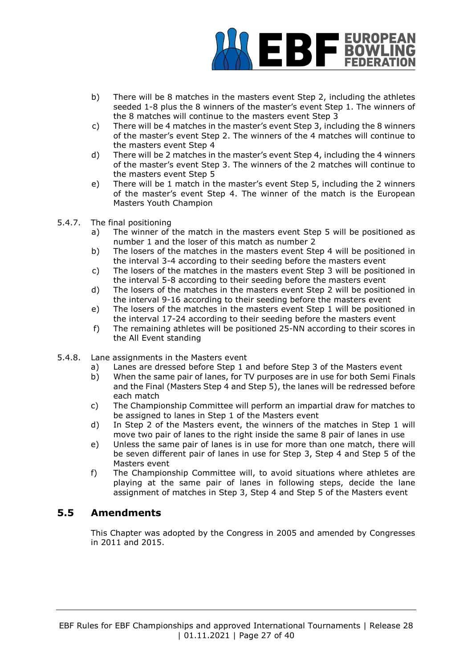

- b) There will be 8 matches in the masters event Step 2, including the athletes seeded 1-8 plus the 8 winners of the master's event Step 1. The winners of the 8 matches will continue to the masters event Step 3
- c) There will be 4 matches in the master's event Step 3, including the 8 winners of the master's event Step 2. The winners of the 4 matches will continue to the masters event Step 4
- d) There will be 2 matches in the master's event Step 4, including the 4 winners of the master's event Step 3. The winners of the 2 matches will continue to the masters event Step 5
- e) There will be 1 match in the master's event Step 5, including the 2 winners of the master's event Step 4. The winner of the match is the European Masters Youth Champion
- 5.4.7. The final positioning
	- a) The winner of the match in the masters event Step 5 will be positioned as number 1 and the loser of this match as number 2
	- b) The losers of the matches in the masters event Step 4 will be positioned in the interval 3-4 according to their seeding before the masters event
	- c) The losers of the matches in the masters event Step 3 will be positioned in the interval 5-8 according to their seeding before the masters event
	- d) The losers of the matches in the masters event Step 2 will be positioned in the interval 9-16 according to their seeding before the masters event
	- e) The losers of the matches in the masters event Step 1 will be positioned in the interval 17-24 according to their seeding before the masters event
	- f) The remaining athletes will be positioned 25-NN according to their scores in the All Event standing
- 5.4.8. Lane assignments in the Masters event
	- a) Lanes are dressed before Step 1 and before Step 3 of the Masters event
	- b) When the same pair of lanes, for TV purposes are in use for both Semi Finals and the Final (Masters Step 4 and Step 5), the lanes will be redressed before each match
	- c) The Championship Committee will perform an impartial draw for matches to be assigned to lanes in Step 1 of the Masters event
	- d) In Step 2 of the Masters event, the winners of the matches in Step 1 will move two pair of lanes to the right inside the same 8 pair of lanes in use
	- e) Unless the same pair of lanes is in use for more than one match, there will be seven different pair of lanes in use for Step 3, Step 4 and Step 5 of the Masters event
	- f) The Championship Committee will, to avoid situations where athletes are playing at the same pair of lanes in following steps, decide the lane assignment of matches in Step 3, Step 4 and Step 5 of the Masters event

# **5.5 Amendments**

This Chapter was adopted by the Congress in 2005 and amended by Congresses in 2011 and 2015.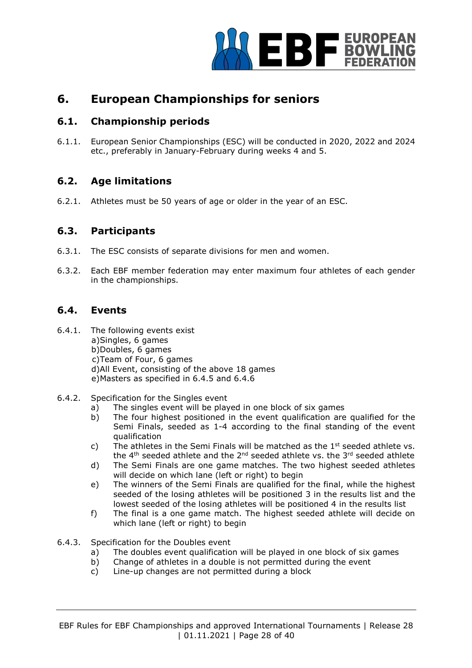

# **6. European Championships for seniors**

# **6.1. Championship periods**

6.1.1. European Senior Championships (ESC) will be conducted in 2020, 2022 and 2024 etc., preferably in January-February during weeks 4 and 5.

# **6.2. Age limitations**

6.2.1. Athletes must be 50 years of age or older in the year of an ESC.

## **6.3. Participants**

- 6.3.1. The ESC consists of separate divisions for men and women.
- 6.3.2. Each EBF member federation may enter maximum four athletes of each gender in the championships.

## **6.4. Events**

- 6.4.1. The following events exist a)Singles, 6 games b)Doubles, 6 games c)Team of Four, 6 games d)All Event, consisting of the above 18 games e)Masters as specified in 6.4.5 and 6.4.6
- 6.4.2. Specification for the Singles event
	- a) The singles event will be played in one block of six games
	- b) The four highest positioned in the event qualification are qualified for the Semi Finals, seeded as 1-4 according to the final standing of the event qualification
	- c) The athletes in the Semi Finals will be matched as the  $1<sup>st</sup>$  seeded athlete vs. the  $4<sup>th</sup>$  seeded athlete and the  $2<sup>nd</sup>$  seeded athlete vs. the  $3<sup>rd</sup>$  seeded athlete
	- d) The Semi Finals are one game matches. The two highest seeded athletes will decide on which lane (left or right) to begin
	- e) The winners of the Semi Finals are qualified for the final, while the highest seeded of the losing athletes will be positioned 3 in the results list and the lowest seeded of the losing athletes will be positioned 4 in the results list
	- f) The final is a one game match. The highest seeded athlete will decide on which lane (left or right) to begin
- 6.4.3. Specification for the Doubles event
	- a) The doubles event qualification will be played in one block of six games
	- b) Change of athletes in a double is not permitted during the event
	- c) Line-up changes are not permitted during a block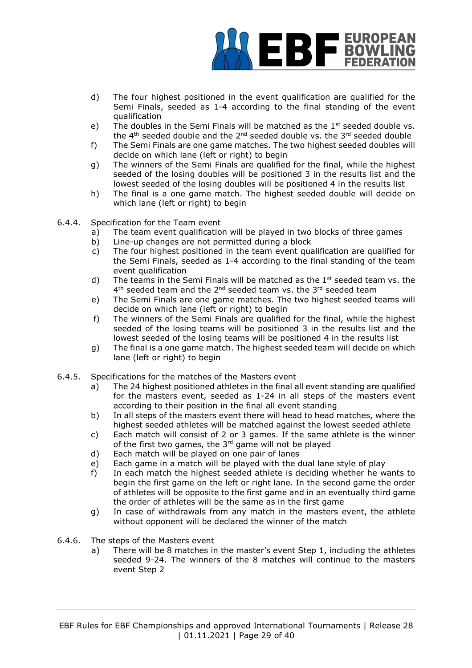

- d) The four highest positioned in the event qualification are qualified for the Semi Finals, seeded as 1-4 according to the final standing of the event qualification
- e) The doubles in the Semi Finals will be matched as the  $1<sup>st</sup>$  seeded double vs. the 4<sup>th</sup> seeded double and the 2<sup>nd</sup> seeded double vs. the 3<sup>rd</sup> seeded double
- f) The Semi Finals are one game matches. The two highest seeded doubles will decide on which lane (left or right) to begin
- g) The winners of the Semi Finals are qualified for the final, while the highest seeded of the losing doubles will be positioned 3 in the results list and the lowest seeded of the losing doubles will be positioned 4 in the results list
- h) The final is a one game match. The highest seeded double will decide on which lane (left or right) to begin
- 6.4.4. Specification for the Team event
	- a) The team event qualification will be played in two blocks of three games
	- b) Line-up changes are not permitted during a block
	- c) The four highest positioned in the team event qualification are qualified for the Semi Finals, seeded as 1-4 according to the final standing of the team event qualification
	- d) The teams in the Semi Finals will be matched as the  $1<sup>st</sup>$  seeded team vs. the 4<sup>th</sup> seeded team and the 2<sup>nd</sup> seeded team vs. the 3<sup>rd</sup> seeded team
	- e) The Semi Finals are one game matches. The two highest seeded teams will decide on which lane (left or right) to begin
	- f) The winners of the Semi Finals are qualified for the final, while the highest seeded of the losing teams will be positioned 3 in the results list and the lowest seeded of the losing teams will be positioned 4 in the results list
	- g) The final is a one game match. The highest seeded team will decide on which lane (left or right) to begin
- 6.4.5. Specifications for the matches of the Masters event
	- a) The 24 highest positioned athletes in the final all event standing are qualified for the masters event, seeded as 1-24 in all steps of the masters event according to their position in the final all event standing
	- b) In all steps of the masters event there will head to head matches, where the highest seeded athletes will be matched against the lowest seeded athlete
	- c) Each match will consist of 2 or 3 games. If the same athlete is the winner of the first two games, the  $3<sup>rd</sup>$  game will not be played
	- d) Each match will be played on one pair of lanes
	- e) Each game in a match will be played with the dual lane style of play
	- f) In each match the highest seeded athlete is deciding whether he wants to begin the first game on the left or right lane. In the second game the order of athletes will be opposite to the first game and in an eventually third game the order of athletes will be the same as in the first game
	- g) In case of withdrawals from any match in the masters event, the athlete without opponent will be declared the winner of the match
- 6.4.6. The steps of the Masters event
	- a) There will be 8 matches in the master's event Step 1, including the athletes seeded 9-24. The winners of the 8 matches will continue to the masters event Step 2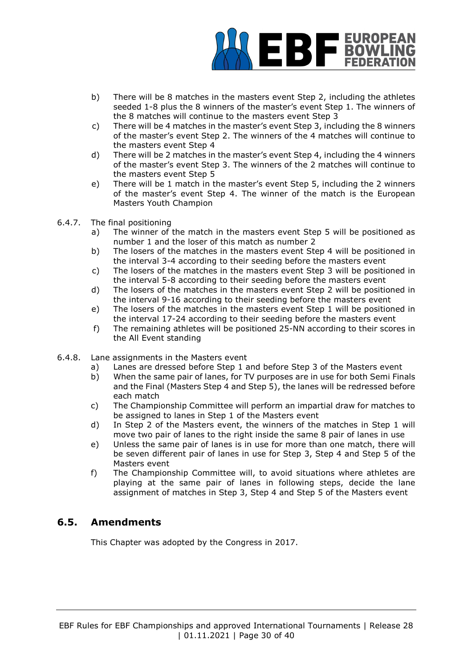

- b) There will be 8 matches in the masters event Step 2, including the athletes seeded 1-8 plus the 8 winners of the master's event Step 1. The winners of the 8 matches will continue to the masters event Step 3
- c) There will be 4 matches in the master's event Step 3, including the 8 winners of the master's event Step 2. The winners of the 4 matches will continue to the masters event Step 4
- d) There will be 2 matches in the master's event Step 4, including the 4 winners of the master's event Step 3. The winners of the 2 matches will continue to the masters event Step 5
- e) There will be 1 match in the master's event Step 5, including the 2 winners of the master's event Step 4. The winner of the match is the European Masters Youth Champion
- 6.4.7. The final positioning
	- a) The winner of the match in the masters event Step 5 will be positioned as number 1 and the loser of this match as number 2
	- b) The losers of the matches in the masters event Step 4 will be positioned in the interval 3-4 according to their seeding before the masters event
	- c) The losers of the matches in the masters event Step 3 will be positioned in the interval 5-8 according to their seeding before the masters event
	- d) The losers of the matches in the masters event Step 2 will be positioned in the interval 9-16 according to their seeding before the masters event
	- e) The losers of the matches in the masters event Step 1 will be positioned in the interval 17-24 according to their seeding before the masters event
	- f) The remaining athletes will be positioned 25-NN according to their scores in the All Event standing
- 6.4.8. Lane assignments in the Masters event
	- a) Lanes are dressed before Step 1 and before Step 3 of the Masters event
	- b) When the same pair of lanes, for TV purposes are in use for both Semi Finals and the Final (Masters Step 4 and Step 5), the lanes will be redressed before each match
	- c) The Championship Committee will perform an impartial draw for matches to be assigned to lanes in Step 1 of the Masters event
	- d) In Step 2 of the Masters event, the winners of the matches in Step 1 will move two pair of lanes to the right inside the same 8 pair of lanes in use
	- e) Unless the same pair of lanes is in use for more than one match, there will be seven different pair of lanes in use for Step 3, Step 4 and Step 5 of the Masters event
	- f) The Championship Committee will, to avoid situations where athletes are playing at the same pair of lanes in following steps, decide the lane assignment of matches in Step 3, Step 4 and Step 5 of the Masters event

# **6.5. Amendments**

This Chapter was adopted by the Congress in 2017.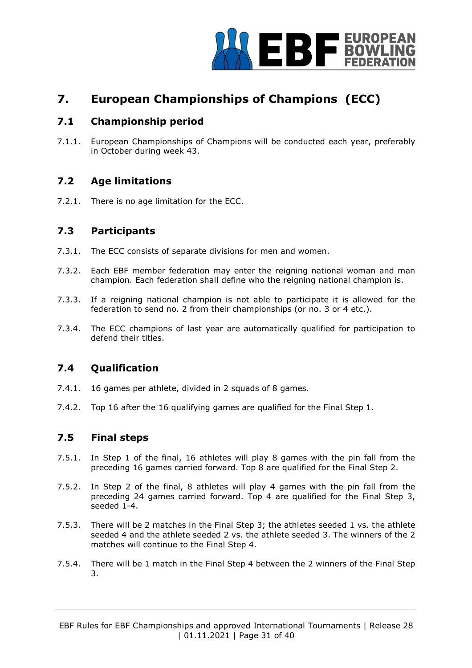

# **7. European Championships of Champions (ECC)**

# **7.1 Championship period**

7.1.1. European Championships of Champions will be conducted each year, preferably in October during week 43.

# **7.2 Age limitations**

7.2.1. There is no age limitation for the ECC.

#### **7.3 Participants**

- 7.3.1. The ECC consists of separate divisions for men and women.
- 7.3.2. Each EBF member federation may enter the reigning national woman and man champion. Each federation shall define who the reigning national champion is.
- 7.3.3. If a reigning national champion is not able to participate it is allowed for the federation to send no. 2 from their championships (or no. 3 or 4 etc.).
- 7.3.4. The ECC champions of last year are automatically qualified for participation to defend their titles.

# **7.4 Qualification**

- 7.4.1. 16 games per athlete, divided in 2 squads of 8 games.
- 7.4.2. Top 16 after the 16 qualifying games are qualified for the Final Step 1.

# **7.5 Final steps**

- 7.5.1. In Step 1 of the final, 16 athletes will play 8 games with the pin fall from the preceding 16 games carried forward. Top 8 are qualified for the Final Step 2.
- 7.5.2. In Step 2 of the final, 8 athletes will play 4 games with the pin fall from the preceding 24 games carried forward. Top 4 are qualified for the Final Step 3, seeded 1-4.
- 7.5.3. There will be 2 matches in the Final Step 3; the athletes seeded 1 vs. the athlete seeded 4 and the athlete seeded 2 vs. the athlete seeded 3. The winners of the 2 matches will continue to the Final Step 4.
- 7.5.4. There will be 1 match in the Final Step 4 between the 2 winners of the Final Step 3.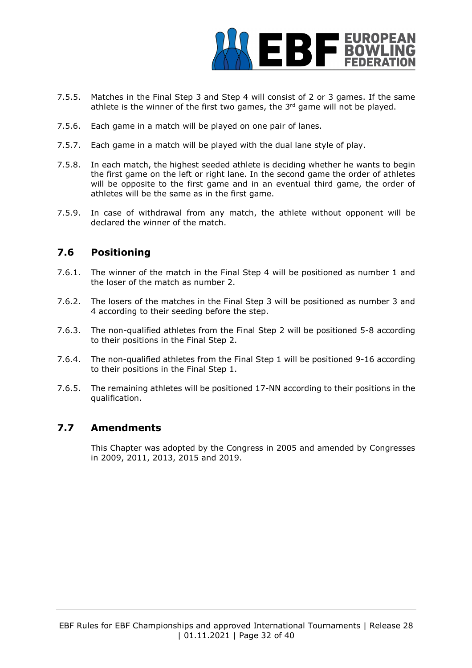

- 7.5.5. Matches in the Final Step 3 and Step 4 will consist of 2 or 3 games. If the same athlete is the winner of the first two games, the  $3<sup>rd</sup>$  game will not be played.
- 7.5.6. Each game in a match will be played on one pair of lanes.
- 7.5.7. Each game in a match will be played with the dual lane style of play.
- 7.5.8. In each match, the highest seeded athlete is deciding whether he wants to begin the first game on the left or right lane. In the second game the order of athletes will be opposite to the first game and in an eventual third game, the order of athletes will be the same as in the first game.
- 7.5.9. In case of withdrawal from any match, the athlete without opponent will be declared the winner of the match.

## **7.6 Positioning**

- 7.6.1. The winner of the match in the Final Step 4 will be positioned as number 1 and the loser of the match as number 2.
- 7.6.2. The losers of the matches in the Final Step 3 will be positioned as number 3 and 4 according to their seeding before the step.
- 7.6.3. The non-qualified athletes from the Final Step 2 will be positioned 5-8 according to their positions in the Final Step 2.
- 7.6.4. The non-qualified athletes from the Final Step 1 will be positioned 9-16 according to their positions in the Final Step 1.
- 7.6.5. The remaining athletes will be positioned 17-NN according to their positions in the qualification.

# **7.7 Amendments**

This Chapter was adopted by the Congress in 2005 and amended by Congresses in 2009, 2011, 2013, 2015 and 2019.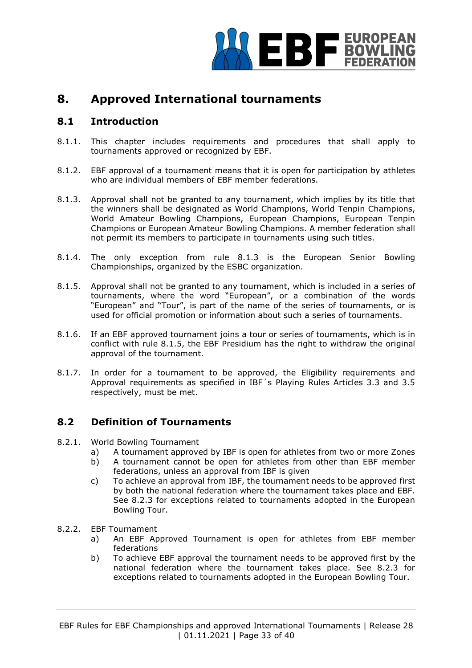

# **8. Approved International tournaments**

## **8.1 Introduction**

- 8.1.1. This chapter includes requirements and procedures that shall apply to tournaments approved or recognized by EBF.
- 8.1.2. EBF approval of a tournament means that it is open for participation by athletes who are individual members of EBF member federations.
- 8.1.3. Approval shall not be granted to any tournament, which implies by its title that the winners shall be designated as World Champions, World Tenpin Champions, World Amateur Bowling Champions, European Champions, European Tenpin Champions or European Amateur Bowling Champions. A member federation shall not permit its members to participate in tournaments using such titles.
- 8.1.4. The only exception from rule 8.1.3 is the European Senior Bowling Championships, organized by the ESBC organization.
- 8.1.5. Approval shall not be granted to any tournament, which is included in a series of tournaments, where the word "European", or a combination of the words "European" and "Tour", is part of the name of the series of tournaments, or is used for official promotion or information about such a series of tournaments.
- 8.1.6. If an EBF approved tournament joins a tour or series of tournaments, which is in conflict with rule 8.1.5, the EBF Presidium has the right to withdraw the original approval of the tournament.
- 8.1.7. In order for a tournament to be approved, the Eligibility requirements and Approval requirements as specified in IBF´s Playing Rules Articles 3.3 and 3.5 respectively, must be met.

#### **8.2 Definition of Tournaments**

- 8.2.1. World Bowling Tournament
	- a) A tournament approved by IBF is open for athletes from two or more Zones
	- b) A tournament cannot be open for athletes from other than EBF member federations, unless an approval from IBF is given
	- c) To achieve an approval from IBF, the tournament needs to be approved first by both the national federation where the tournament takes place and EBF. See 8.2.3 for exceptions related to tournaments adopted in the European Bowling Tour.
- 8.2.2. EBF Tournament
	- a) An EBF Approved Tournament is open for athletes from EBF member federations
	- b) To achieve EBF approval the tournament needs to be approved first by the national federation where the tournament takes place. See 8.2.3 for exceptions related to tournaments adopted in the European Bowling Tour.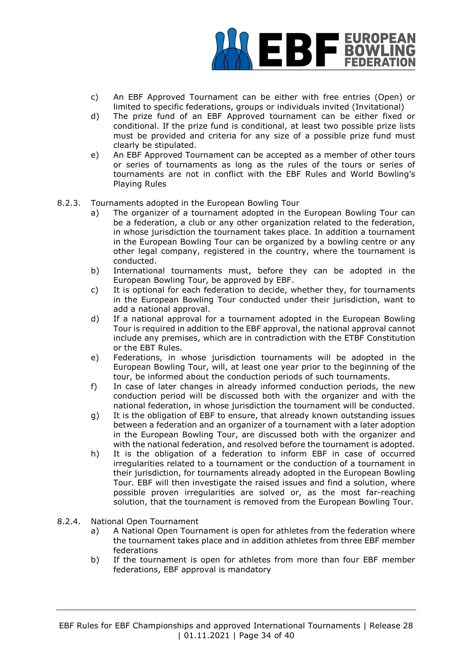

- c) An EBF Approved Tournament can be either with free entries (Open) or limited to specific federations, groups or individuals invited (Invitational)
- d) The prize fund of an EBF Approved tournament can be either fixed or conditional. If the prize fund is conditional, at least two possible prize lists must be provided and criteria for any size of a possible prize fund must clearly be stipulated.
- e) An EBF Approved Tournament can be accepted as a member of other tours or series of tournaments as long as the rules of the tours or series of tournaments are not in conflict with the EBF Rules and World Bowling's Playing Rules
- 8.2.3. Tournaments adopted in the European Bowling Tour
	- a) The organizer of a tournament adopted in the European Bowling Tour can be a federation, a club or any other organization related to the federation, in whose jurisdiction the tournament takes place. In addition a tournament in the European Bowling Tour can be organized by a bowling centre or any other legal company, registered in the country, where the tournament is conducted.
	- b) International tournaments must, before they can be adopted in the European Bowling Tour, be approved by EBF.
	- c) It is optional for each federation to decide, whether they, for tournaments in the European Bowling Tour conducted under their jurisdiction, want to add a national approval.
	- d) If a national approval for a tournament adopted in the European Bowling Tour is required in addition to the EBF approval, the national approval cannot include any premises, which are in contradiction with the ETBF Constitution or the EBT Rules.
	- e) Federations, in whose jurisdiction tournaments will be adopted in the European Bowling Tour, will, at least one year prior to the beginning of the tour, be informed about the conduction periods of such tournaments.
	- f) In case of later changes in already informed conduction periods, the new conduction period will be discussed both with the organizer and with the national federation, in whose jurisdiction the tournament will be conducted.
	- g) It is the obligation of EBF to ensure, that already known outstanding issues between a federation and an organizer of a tournament with a later adoption in the European Bowling Tour, are discussed both with the organizer and with the national federation, and resolved before the tournament is adopted.
	- h) It is the obligation of a federation to inform EBF in case of occurred irregularities related to a tournament or the conduction of a tournament in their jurisdiction, for tournaments already adopted in the European Bowling Tour. EBF will then investigate the raised issues and find a solution, where possible proven irregularities are solved or, as the most far-reaching solution, that the tournament is removed from the European Bowling Tour.
- 8.2.4. National Open Tournament
	- a) A National Open Tournament is open for athletes from the federation where the tournament takes place and in addition athletes from three EBF member federations
	- b) If the tournament is open for athletes from more than four EBF member federations, EBF approval is mandatory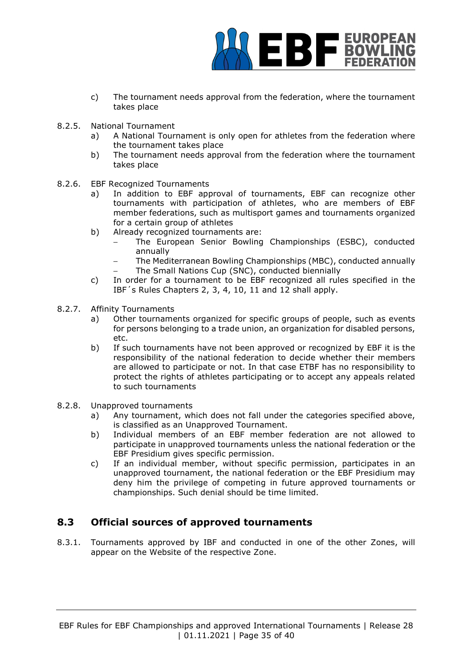

- c) The tournament needs approval from the federation, where the tournament takes place
- 8.2.5. National Tournament
	- a) A National Tournament is only open for athletes from the federation where the tournament takes place
	- b) The tournament needs approval from the federation where the tournament takes place
- 8.2.6. EBF Recognized Tournaments
	- a) In addition to EBF approval of tournaments, EBF can recognize other tournaments with participation of athletes, who are members of EBF member federations, such as multisport games and tournaments organized for a certain group of athletes
	- b) Already recognized tournaments are:
		- The European Senior Bowling Championships (ESBC), conducted annually
		- The Mediterranean Bowling Championships (MBC), conducted annually The Small Nations Cup (SNC), conducted biennially
	- c) In order for a tournament to be EBF recognized all rules specified in the IBF´s Rules Chapters 2, 3, 4, 10, 11 and 12 shall apply.
- 8.2.7. Affinity Tournaments
	- a) Other tournaments organized for specific groups of people, such as events for persons belonging to a trade union, an organization for disabled persons, etc.
	- b) If such tournaments have not been approved or recognized by EBF it is the responsibility of the national federation to decide whether their members are allowed to participate or not. In that case ETBF has no responsibility to protect the rights of athletes participating or to accept any appeals related to such tournaments
- 8.2.8. Unapproved tournaments
	- a) Any tournament, which does not fall under the categories specified above, is classified as an Unapproved Tournament.
	- b) Individual members of an EBF member federation are not allowed to participate in unapproved tournaments unless the national federation or the EBF Presidium gives specific permission.
	- c) If an individual member, without specific permission, participates in an unapproved tournament, the national federation or the EBF Presidium may deny him the privilege of competing in future approved tournaments or championships. Such denial should be time limited.

# **8.3 Official sources of approved tournaments**

8.3.1. Tournaments approved by IBF and conducted in one of the other Zones, will appear on the Website of the respective Zone.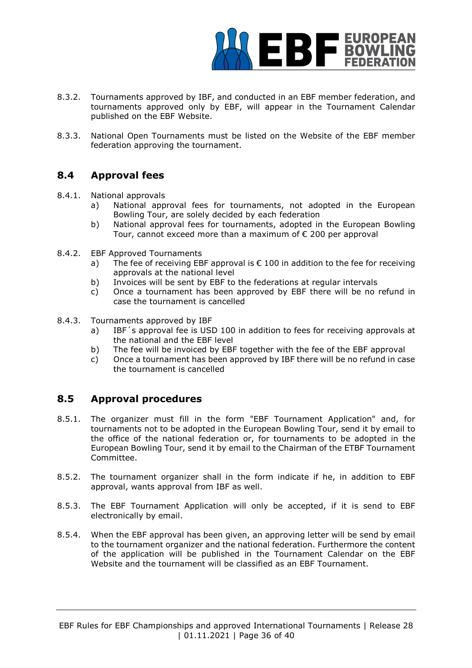

- 8.3.2. Tournaments approved by IBF, and conducted in an EBF member federation, and tournaments approved only by EBF, will appear in the Tournament Calendar published on the EBF Website.
- 8.3.3. National Open Tournaments must be listed on the Website of the EBF member federation approving the tournament.

# **8.4 Approval fees**

- 8.4.1. National approvals
	- a) National approval fees for tournaments, not adopted in the European Bowling Tour, are solely decided by each federation
	- b) National approval fees for tournaments, adopted in the European Bowling Tour, cannot exceed more than a maximum of € 200 per approval
- 8.4.2. EBF Approved Tournaments
	- a) The fee of receiving EBF approval is  $\epsilon$  100 in addition to the fee for receiving approvals at the national level
	- b) Invoices will be sent by EBF to the federations at regular intervals
	- c) Once a tournament has been approved by EBF there will be no refund in case the tournament is cancelled
- 8.4.3. Tournaments approved by IBF
	- a) IBF´s approval fee is USD 100 in addition to fees for receiving approvals at the national and the EBF level
	- b) The fee will be invoiced by EBF together with the fee of the EBF approval
	- c) Once a tournament has been approved by IBF there will be no refund in case the tournament is cancelled

# **8.5 Approval procedures**

- 8.5.1. The organizer must fill in the form "EBF Tournament Application" and, for tournaments not to be adopted in the European Bowling Tour, send it by email to the office of the national federation or, for tournaments to be adopted in the European Bowling Tour, send it by email to the Chairman of the ETBF Tournament Committee.
- 8.5.2. The tournament organizer shall in the form indicate if he, in addition to EBF approval, wants approval from IBF as well.
- 8.5.3. The EBF Tournament Application will only be accepted, if it is send to EBF electronically by email.
- 8.5.4. When the EBF approval has been given, an approving letter will be send by email to the tournament organizer and the national federation. Furthermore the content of the application will be published in the Tournament Calendar on the EBF Website and the tournament will be classified as an EBF Tournament.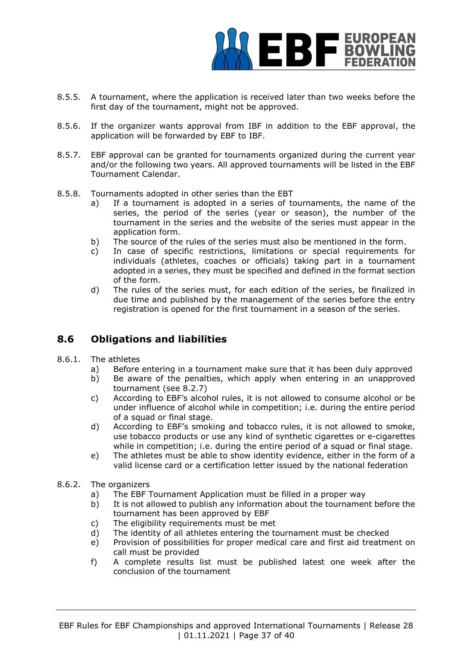

- 8.5.5. A tournament, where the application is received later than two weeks before the first day of the tournament, might not be approved.
- 8.5.6. If the organizer wants approval from IBF in addition to the EBF approval, the application will be forwarded by EBF to IBF.
- 8.5.7. EBF approval can be granted for tournaments organized during the current year and/or the following two years. All approved tournaments will be listed in the EBF Tournament Calendar.
- 8.5.8. Tournaments adopted in other series than the EBT
	- a) If a tournament is adopted in a series of tournaments, the name of the series, the period of the series (year or season), the number of the tournament in the series and the website of the series must appear in the application form.
	- b) The source of the rules of the series must also be mentioned in the form.
	- c) In case of specific restrictions, limitations or special requirements for individuals (athletes, coaches or officials) taking part in a tournament adopted in a series, they must be specified and defined in the format section of the form.
	- d) The rules of the series must, for each edition of the series, be finalized in due time and published by the management of the series before the entry registration is opened for the first tournament in a season of the series.

# **8.6 Obligations and liabilities**

- 8.6.1. The athletes
	- a) Before entering in a tournament make sure that it has been duly approved
	- b) Be aware of the penalties, which apply when entering in an unapproved tournament (see 8.2.7)
	- c) According to EBF's alcohol rules, it is not allowed to consume alcohol or be under influence of alcohol while in competition; i.e. during the entire period of a squad or final stage.
	- d) According to EBF's smoking and tobacco rules, it is not allowed to smoke, use tobacco products or use any kind of synthetic cigarettes or e-cigarettes while in competition; i.e. during the entire period of a squad or final stage.
	- e) The athletes must be able to show identity evidence, either in the form of a valid license card or a certification letter issued by the national federation
- 8.6.2. The organizers
	- a) The EBF Tournament Application must be filled in a proper way
	- b) It is not allowed to publish any information about the tournament before the tournament has been approved by EBF
	- c) The eligibility requirements must be met
	- d) The identity of all athletes entering the tournament must be checked
	- e) Provision of possibilities for proper medical care and first aid treatment on call must be provided
	- f) A complete results list must be published latest one week after the conclusion of the tournament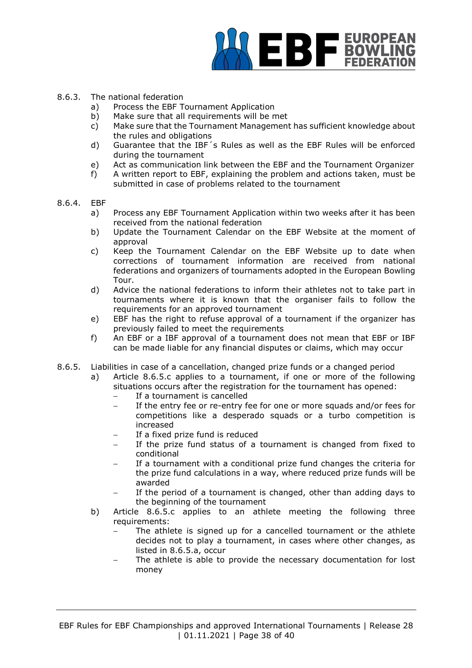

#### 8.6.3. The national federation

- a) Process the EBF Tournament Application
- b) Make sure that all requirements will be met
- c) Make sure that the Tournament Management has sufficient knowledge about the rules and obligations
- d) Guarantee that the IBF´s Rules as well as the EBF Rules will be enforced during the tournament
- e) Act as communication link between the EBF and the Tournament Organizer
- f) A written report to EBF, explaining the problem and actions taken, must be submitted in case of problems related to the tournament
- 8.6.4. EBF
	- a) Process any EBF Tournament Application within two weeks after it has been received from the national federation
	- b) Update the Tournament Calendar on the EBF Website at the moment of approval
	- c) Keep the Tournament Calendar on the EBF Website up to date when corrections of tournament information are received from national federations and organizers of tournaments adopted in the European Bowling Tour.
	- d) Advice the national federations to inform their athletes not to take part in tournaments where it is known that the organiser fails to follow the requirements for an approved tournament
	- e) EBF has the right to refuse approval of a tournament if the organizer has previously failed to meet the requirements
	- f) An EBF or a IBF approval of a tournament does not mean that EBF or IBF can be made liable for any financial disputes or claims, which may occur
- 8.6.5. Liabilities in case of a cancellation, changed prize funds or a changed period
	- a) Article 8.6.5.c applies to a tournament, if one or more of the following situations occurs after the registration for the tournament has opened:
		- If a tournament is cancelled
		- If the entry fee or re-entry fee for one or more squads and/or fees for competitions like a desperado squads or a turbo competition is increased
		- If a fixed prize fund is reduced
		- If the prize fund status of a tournament is changed from fixed to conditional
		- If a tournament with a conditional prize fund changes the criteria for the prize fund calculations in a way, where reduced prize funds will be awarded
		- If the period of a tournament is changed, other than adding days to the beginning of the tournament
	- b) Article 8.6.5.c applies to an athlete meeting the following three requirements:
		- The athlete is signed up for a cancelled tournament or the athlete decides not to play a tournament, in cases where other changes, as listed in 8.6.5.a, occur
		- The athlete is able to provide the necessary documentation for lost money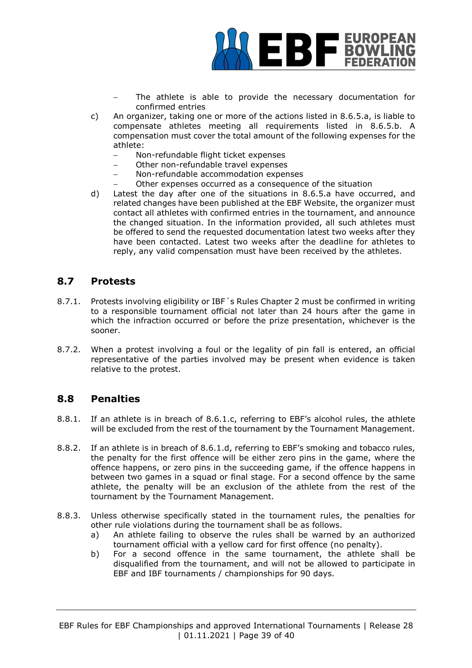

- The athlete is able to provide the necessary documentation for confirmed entries
- c) An organizer, taking one or more of the actions listed in 8.6.5.a, is liable to compensate athletes meeting all requirements listed in 8.6.5.b. A compensation must cover the total amount of the following expenses for the athlete:
	- − Non-refundable flight ticket expenses
	- Other non-refundable travel expenses
	- − Non-refundable accommodation expenses
	- Other expenses occurred as a consequence of the situation
- d) Latest the day after one of the situations in 8.6.5.a have occurred, and related changes have been published at the EBF Website, the organizer must contact all athletes with confirmed entries in the tournament, and announce the changed situation. In the information provided, all such athletes must be offered to send the requested documentation latest two weeks after they have been contacted. Latest two weeks after the deadline for athletes to reply, any valid compensation must have been received by the athletes.

## **8.7 Protests**

- 8.7.1. Protests involving eligibility or IBF´s Rules Chapter 2 must be confirmed in writing to a responsible tournament official not later than 24 hours after the game in which the infraction occurred or before the prize presentation, whichever is the sooner.
- 8.7.2. When a protest involving a foul or the legality of pin fall is entered, an official representative of the parties involved may be present when evidence is taken relative to the protest.

#### **8.8 Penalties**

- 8.8.1. If an athlete is in breach of 8.6.1.c, referring to EBF's alcohol rules, the athlete will be excluded from the rest of the tournament by the Tournament Management.
- 8.8.2. If an athlete is in breach of 8.6.1.d, referring to EBF's smoking and tobacco rules, the penalty for the first offence will be either zero pins in the game, where the offence happens, or zero pins in the succeeding game, if the offence happens in between two games in a squad or final stage. For a second offence by the same athlete, the penalty will be an exclusion of the athlete from the rest of the tournament by the Tournament Management.
- 8.8.3. Unless otherwise specifically stated in the tournament rules, the penalties for other rule violations during the tournament shall be as follows.
	- a) An athlete failing to observe the rules shall be warned by an authorized tournament official with a yellow card for first offence (no penalty).
	- b) For a second offence in the same tournament, the athlete shall be disqualified from the tournament, and will not be allowed to participate in EBF and IBF tournaments / championships for 90 days.